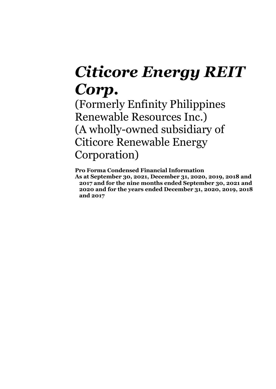# *Citicore Energy REIT Corp.*

(Formerly Enfinity Philippines Renewable Resources Inc.) (A wholly-owned subsidiary of Citicore Renewable Energy Corporation)

**Pro Forma Condensed Financial Information As at September 30, 2021, December 31, 2020, 2019, 2018 and 2017 and for the nine months ended September 30, 2021 and 2020 and for the years ended December 31, 2020, 2019, 2018 and 2017**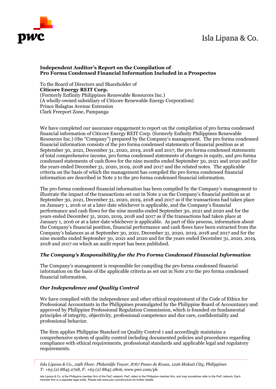# Isla Lipana & Co.



# **Independent Auditor's Report on the Compilation of Pro Forma Condensed Financial Information Included in a Prospectus**

To the Board of Directors and Shareholder of **Citicore Energy REIT Corp.** (Formerly Enfinity Philippines Renewable Resources Inc.) (A wholly-owned subsidiary of Citicore Renewable Energy Corporation) Prince Balagtas Avenue Extension Clark Freeport Zone, Pampanga

We have completed our assurance engagement to report on the compilation of pro forma condensed financial information of Citicore Energy REIT Corp. (formerly Enfinity Philippines Renewable Resources Inc.) (the "Company") prepared by the Company's management. The pro forma condensed financial information consists of the pro forma condensed statements of financial position as at September 30, 2021, December 31, 2020, 2019, 2018 and 2017, the pro forma condensed statements of total comprehensive income, pro forma condensed statements of changes in equity, and pro forma condensed statements of cash flows for the nine months ended September 30, 2021 and 2020 and for the years ended December 31, 2020, 2019, 2018 and 2017 and the related notes. The applicable criteria on the basis of which the management has compiled the pro forma condensed financial information are described in Note 2 to the pro forma condensed financial information.

The pro forma condensed financial information has been compiled by the Company's management to illustrate the impact of the transactions set out in Note 2 on the Company's financial position as at September 30, 2021, December 31, 2020, 2019, 2018 and 2017 as if the transactions had taken place on January 1, 2016 or at a later date whichever is applicable, and the Company's financial performance and cash flows for the nine months ended September 30, 2021 and 2020 and for the years ended December 31, 2020, 2019, 2018 and 2017 as if the transactions had taken place at January 1, 2016 or at a later date whichever is applicable. As part of this process, information about the Company's financial position, financial performance and cash flows have been extracted from the Company's balances as at September 30, 2021, December 31, 2020, 2019, 2018 and 2017 and for the nine months ended September 30, 2021 and 2020 and for the years ended December 31, 2020, 2019, 2018 and 2017 on which an audit report has been published.

# *The Company's Responsibility for the Pro Forma Condensed Financial Information*

The Company's management is responsible for compiling the pro forma condensed financial information on the basis of the applicable criteria as set out in Note 2 to the pro forma condensed financial information.

# *Our Independence and Quality Control*

We have complied with the independence and other ethical requirement of the Code of Ethics for Professional Accountants in the Philippines promulgated by the Philippine Board of Accountancy and approved by Philippine Professional Regulation Commission, which is founded on fundamental principles of integrity, objectivity, professional competence and due care, confidentiality and professional behavior.

The firm applies Philippine Standard on Quality Control 1 and accordingly maintains a comprehensive system of quality control including documented policies and procedures regarding compliance with ethical requirements, professional standards and applicable legal and regulatory requirements.

*Isla Lipana & Co., 29th Floor, Philamlife Tower, 8767 Paseo de Roxas, 1226 Makati City, Philippines T: +63 (2) 8845 2728, F: +63 (2) 8845 2806,* www.pwc.com/ph

Isla Lipana & Co. is the Philippine member firm of the PwC network. PwC refers to the Philippine member firm, and may sometimes refer to the PwC network. Each member firm is a separate legal entity. Please see www.pwc.com/structure for further details.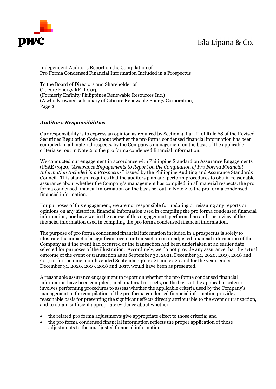# Isla Lipana & Co.



Independent Auditor's Report on the Compilation of Pro Forma Condensed Financial Information Included in a Prospectus

To the Board of Directors and Shareholder of Citicore Energy REIT Corp. (Formerly Enfinity Philippines Renewable Resources Inc.) (A wholly-owned subsidiary of Citicore Renewable Energy Corporation) Page 2

# *Auditor's Responsibilities*

Our responsibility is to express an opinion as required by Section 9, Part II of Rule 68 of the Revised Securities Regulation Code about whether the pro forma condensed financial information has been compiled, in all material respects, by the Company's management on the basis of the applicable criteria set out in Note 2 to the pro forma condensed financial information.

We conducted our engagement in accordance with Philippine Standard on Assurance Engagements (PSAE) 3420, *"Assurance Engagements to Report on the Compilation of Pro Forma Financial Information Included in a Prospectus"*, issued by the Philippine Auditing and Assurance Standards Council. This standard requires that the auditors plan and perform procedures to obtain reasonable assurance about whether the Company's management has compiled, in all material respects, the pro forma condensed financial information on the basis set out in Note 2 to the pro forma condensed financial information.

For purposes of this engagement, we are not responsible for updating or reissuing any reports or opinions on any historical financial information used in compiling the pro forma condensed financial information, nor have we, in the course of this engagement, performed an audit or review of the financial information used in compiling the pro forma condensed financial information.

The purpose of pro forma condensed financial information included in a prospectus is solely to illustrate the impact of a significant event or transaction on unadjusted financial information of the Company as if the event had occurred or the transaction had been undertaken at an earlier date selected for purposes of the illustration. Accordingly, we do not provide any assurance that the actual outcome of the event or transaction as at September 30, 2021, December 31, 2020, 2019, 2018 and 2017 or for the nine months ended September 30, 2021 and 2020 and for the years ended December 31, 2020, 2019, 2018 and 2017, would have been as presented.

A reasonable assurance engagement to report on whether the pro forma condensed financial information have been compiled, in all material respects, on the basis of the applicable criteria involves performing procedures to assess whether the applicable criteria used by the Company's management in the compilation of the pro forma condensed financial information provide a reasonable basis for presenting the significant effects directly attributable to the event or transaction, and to obtain sufficient appropriate evidence about whether:

- the related pro forma adjustments give appropriate effect to those criteria; and
- the pro forma condensed financial information reflects the proper application of those adjustments to the unadjusted financial information.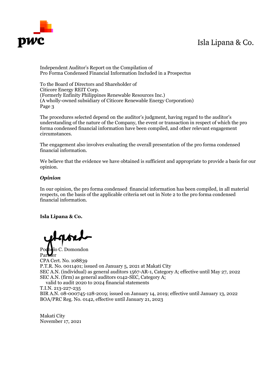# Isla Lipana & Co.



Independent Auditor's Report on the Compilation of Pro Forma Condensed Financial Information Included in a Prospectus

To the Board of Directors and Shareholder of Citicore Energy REIT Corp. (Formerly Enfinity Philippines Renewable Resources Inc.) (A wholly-owned subsidiary of Citicore Renewable Energy Corporation) Page 3

The procedures selected depend on the auditor's judgment, having regard to the auditor's understanding of the nature of the Company, the event or transaction in respect of which the pro forma condensed financial information have been compiled, and other relevant engagement circumstances.

The engagement also involves evaluating the overall presentation of the pro forma condensed financial information.

We believe that the evidence we have obtained is sufficient and appropriate to provide a basis for our opinion.

# *Opinion*

In our opinion, the pro forma condensed financial information has been compiled, in all material respects, on the basis of the applicable criteria set out in Note 2 to the pro forma condensed financial information.

**Isla Lipana & Co.**

Pocholo C. Domondon Partner CPA Cert. No. 108839 P.T.R. No. 0011401; issued on January 5, 2021 at Makati City SEC A.N. (individual) as general auditors 1567-AR-1, Category A; effective until May 27, 2022 SEC A.N. (firm) as general auditors 0142-SEC, Category A; valid to audit 2020 to 2024 financial statements T.I.N. 213-227-235

BIR A.N. 08-000745-128-2019; issued on January 14, 2019; effective until January 13, 2022 BOA/PRC Reg. No. 0142, effective until January 21, 2023

Makati City November 17, 2021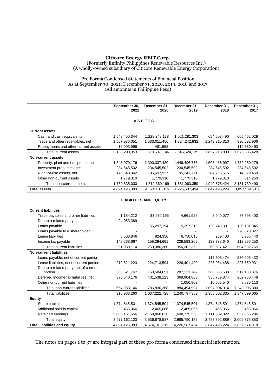#### Pro Forma Condensed Statements of Financial Position As at September 30, 2021, December 31, 2020, 2019, 2018 and 2017 (All amounts in Philippine Peso)

|                                           | September 30,<br>2021 | December 31,<br>2020 | December 31,<br>2019 | December 31,<br>2018 | December 31,<br>2017 |  |  |
|-------------------------------------------|-----------------------|----------------------|----------------------|----------------------|----------------------|--|--|
|                                           |                       | <b>ASSETS</b>        |                      |                      |                      |  |  |
| <b>Current assets</b>                     |                       |                      |                      |                      |                      |  |  |
| Cash and cash equivalents                 | 1,548,450,344         | 1,228,248,138        | 1,021,281,303        | 654,603,490          | 665,462,029          |  |  |
| Trade and other receivables, net          | 1,567,936,051         | 1,533,011,450        | 1,324,242,832        | 1,243,315,310        | 890,692,906          |  |  |
| Prepayments and other current assets      | 16,903,958            | 481,558              |                      |                      | 119,680,493          |  |  |
| <b>Total current assets</b>               | 3,133,290,353         | 2,761,741,146        | 2,345,524,135        | 1,897,918,800        | 1,675,835,428        |  |  |
| <b>Non-current assets</b>                 |                       |                      |                      |                      |                      |  |  |
| Property, plant and equipment, net        | 1,345,970,176         | 1,390,337,430        | 1,449,496,776        | 1,508,465,997        | 1,732,250,279        |  |  |
| Investment properties, net                | 234,545,502           | 234,545,502          | 234,545,502          | 234,545,502          | 234,545,502          |  |  |
| Right-of-use assets, net                  | 178,540,042           | 185,697,927          | 195,241,771          | 204,785,615          | 214,329,459          |  |  |
| Other non-current assets                  | 1,779,310             | 1,779,310            | 1,779,310            | 1,779,310            | 614,250              |  |  |
| Total non-current assets                  | 1,760,835,030         | 1,812,360,169        | 1,881,063,359        | 1,949,576,424        | 2,181,739,490        |  |  |
| <b>Total assets</b>                       | 4,894,125,383         | 4,574,101,315        | 4,226,587,494        | 3,847,495,224        | 3,857,574,918        |  |  |
| <b>LIABILITIES AND EQUITY</b>             |                       |                      |                      |                      |                      |  |  |
| <b>Current liabilities</b>                |                       |                      |                      |                      |                      |  |  |
| Trade payables and other liabilities      | 1,154,212             | 33,970,165           | 4,661,925            | 5,940,077            | 87,598,403           |  |  |
| Due to a related party                    | 94,053,389            |                      |                      |                      |                      |  |  |
| Loans payable                             |                       | 56,297,154           | 115,297,213          | 120,749,301          | 120,191,845          |  |  |
| Loans payable to a shareholder            |                       |                      |                      |                      | 278,620,827          |  |  |
| Lease liabilities                         | 8,503,846             | 824,350              | 6,750,015            | 269,403              | 5,985,440            |  |  |
| Income tax payable                        | 148,268,667           | 159,294,691          | 229,593,209          | 133,738,640          | 112,296,250          |  |  |
| <b>Total current liabilities</b>          | 251,980,114           | 250,386,360          | 356,302,362          | 260,697,421          | 604,692,765          |  |  |
| <b>Non-current liabilities</b>            |                       |                      |                      |                      |                      |  |  |
| Loans payable, net of current portion     |                       |                      |                      | 115,306,474          | 236,906,432          |  |  |
| Lease liabilities, net of current portion | 219,821,223           | 224,713,594          | 226,401,490          | 226,934,488          | 227,550,931          |  |  |
| Due to a related party, net of current    |                       |                      |                      |                      |                      |  |  |
| portion                                   | 68,521,747            | 160,584,651          | 287, 131, 742        | 388,368,538          | 517,138,376          |  |  |
| Deferred income tax liabilities, net      | 376,640,176           | 401,538,123          | 369,904,863          | 356,789,874          | 252,780,448          |  |  |
| Other non-current liabilities             |                       |                      | 1,056,902            | 10,505,540           | 8,630,113            |  |  |
| Total non-current liabilities             | 664,983,146           | 786,836,368          | 884,494,997          | 1,097,904,914        | 1,243,006,300        |  |  |
| <b>Total liabilities</b>                  | 916,963,260           | 1,037,222,728        | 1,240,797,359        | 1,358,602,335        | 1,847,699,065        |  |  |
| <b>Equity</b>                             |                       |                      |                      |                      |                      |  |  |
| Share capital                             | 1,374,545,501         | 1,374,545,501        | 1,374,545,501        | 1,374,545,501        | 1,374,545,501        |  |  |
| Additional paid-in capital                | 2,465,066             | 2,465,066            | 2,465,066            | 2,465,066            | 2,465,066            |  |  |
| Retained earnings                         | 2,600,151,556         | 2,159,868,020        | 1,608,779,568        | 1,111,882,322        | 632,865,286          |  |  |
| Total equity                              | 3,977,162,123         | 3,536,878,587        | 2,985,790,135        | 2,488,892,889        | 2,009,875,853        |  |  |
| <b>Total liabilities and equity</b>       | 4,894,125,383         | 4,574,101,315        | 4,226,587,494        | 3,847,495,224        | 3,857,574,918        |  |  |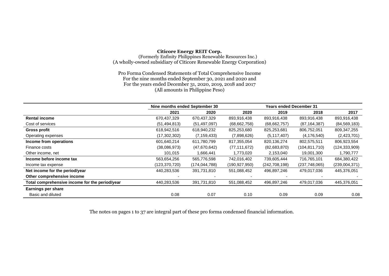#### **Citicore Energy REIT Corp.**

(Formerly Enfinity Philippines Renewable Resources Inc.) (A wholly-owned subsidiary of Citicore Renewable Energy Corporation)

Pro Forma Condensed Statements of Total Comprehensive Income For the nine months ended September 30, 2021 and 2020 and For the years ended December 31, 2020, 2019, 2018 and 2017 (All amounts in Philippine Peso)

|                                                | Nine months ended September 30 |                 |                 | Years ended December 31 |                 |                 |
|------------------------------------------------|--------------------------------|-----------------|-----------------|-------------------------|-----------------|-----------------|
|                                                | 2021                           | 2020            | 2020            | 2019                    | 2018            | 2017            |
| <b>Rental income</b>                           | 670,437,329                    | 670,437,329     | 893,916,438     | 893,916,438             | 893,916,438     | 893,916,438     |
| Cost of services                               | (51, 494, 813)                 | (51, 497, 097)  | (68, 662, 758)  | (68, 662, 757)          | (87, 164, 387)  | (84, 569, 183)  |
| <b>Gross profit</b>                            | 618,942,516                    | 618,940,232     | 825,253,680     | 825,253,681             | 806,752,051     | 809,347,255     |
| Operating expenses                             | (17,302,302)                   | (7, 159, 433)   | (7,898,626)     | (5, 117, 407)           | (4, 176, 540)   | (2,423,701)     |
| Income from operations                         | 601,640,214                    | 611,780,799     | 817,355,054     | 820,136,274             | 802,575,511     | 806,923,554     |
| Finance costs                                  | (38,086,973)                   | (47,670,642)    | (77, 111, 672)  | (82,683,870)            | (104, 811, 710) | (124, 333, 909) |
| Other income, net                              | 101,015                        | 1,666,441       | 1,773,020       | 2,153,040               | 19,001,300      | 1,790,777       |
| Income before income tax                       | 563,654,256                    | 565,776,598     | 742,016,402     | 739,605,444             | 716,765,101     | 684,380,422     |
| Income tax expense                             | (123,370,720)                  | (174, 044, 788) | (190, 927, 950) | (242, 708, 198)         | (237,748,065)   | (239,004,371)   |
| Net income for the period/year                 | 440,283,536                    | 391,731,810     | 551,088,452     | 496,897,246             | 479,017,036     | 445,376,051     |
| Other comprehensive income                     |                                |                 |                 |                         |                 |                 |
| Total comprehensive income for the period/year | 440,283,536                    | 391,731,810     | 551,088,452     | 496,897,246             | 479,017,036     | 445,376,051     |
| <b>Earnings per share</b>                      |                                |                 |                 |                         |                 |                 |
| Basic and diluted                              | 0.08                           | 0.07            | 0.10            | 0.09                    | 0.09            | 0.08            |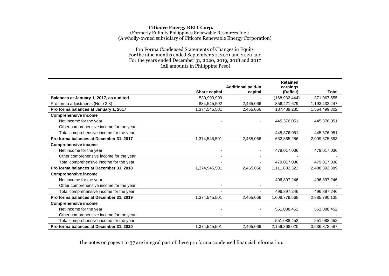Pro Forma Condensed Statements of Changes in Equity For the nine months ended September 30, 2021 and 2020 and For the years ended December 31, 2020, 2019, 2018 and 2017 (All amounts in Philippine Peso)

|                                         |                      | <b>Additional paid-in</b> | <b>Retained</b><br>earnings |               |
|-----------------------------------------|----------------------|---------------------------|-----------------------------|---------------|
|                                         | <b>Share capital</b> | capital                   | (Deficit)                   | <b>Total</b>  |
| Balances at January 1, 2017, as audited | 539,999,999          |                           | (168, 932, 444)             | 371,067,555   |
| Pro forma adjustments (Note 3.3)        | 834,545,502          | 2,465,066                 | 356,421,679                 | 1,193,432,247 |
| Pro forma balances at January 1, 2017   | 1,374,545,501        | 2,465,066                 | 187,489,235                 | 1,564,499,802 |
| <b>Comprehensive income</b>             |                      |                           |                             |               |
| Net income for the year                 |                      |                           | 445,376,051                 | 445,376,051   |
| Other comprehensive income for the year |                      |                           |                             |               |
| Total comprehensive income for the year |                      |                           | 445,376,051                 | 445,376,051   |
| Pro forma balances at December 31, 2017 | 1,374,545,501        | 2,465,066                 | 632,865,286                 | 2,009,875,853 |
| <b>Comprehensive income</b>             |                      |                           |                             |               |
| Net income for the year                 |                      |                           | 479,017,036                 | 479,017,036   |
| Other comprehensive income for the year |                      |                           |                             |               |
| Total comprehensive income for the year |                      |                           | 479,017,036                 | 479,017,036   |
| Pro forma balances at December 31, 2018 | 1,374,545,501        | 2,465,066                 | 1,111,882,322               | 2,488,892,889 |
| <b>Comprehensive income</b>             |                      |                           |                             |               |
| Net income for the year                 |                      |                           | 496,897,246                 | 496,897,246   |
| Other comprehensive income for the year |                      |                           |                             |               |
| Total comprehensive income for the year |                      |                           | 496,897,246                 | 496,897,246   |
| Pro forma balances at December 31, 2019 | 1,374,545,501        | 2,465,066                 | 1,608,779,568               | 2,985,790,135 |
| <b>Comprehensive income</b>             |                      |                           |                             |               |
| Net income for the year                 |                      |                           | 551,088,452                 | 551,088,452   |
| Other comprehensive income for the year |                      |                           |                             |               |
| Total comprehensive income for the year |                      |                           | 551,088,452                 | 551,088,452   |
| Pro forma balances at December 31, 2020 | 1,374,545,501        | 2,465,066                 | 2,159,868,020               | 3,536,878,587 |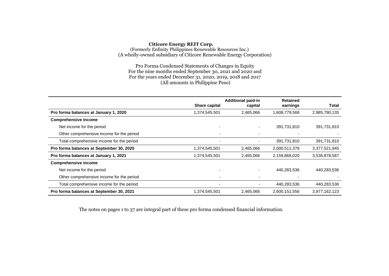Pro Forma Condensed Statements of Changes in Equity For the nine months ended September 30, 2021 and 2020 and For the years ended December 31, 2020, 2019, 2018 and 2017 (All amounts in Philippine Peso)

|                                           | Share capital            | <b>Additional paid-in</b><br>capital | <b>Retained</b><br>earnings | <b>Total</b>  |
|-------------------------------------------|--------------------------|--------------------------------------|-----------------------------|---------------|
| Pro forma balances at January 1, 2020     | 1,374,545,501            | 2,465,066                            | 1,608,779,568               | 2,985,790,135 |
| <b>Comprehensive income</b>               |                          |                                      |                             |               |
| Net income for the period                 |                          |                                      | 391,731,810                 | 391,731,810   |
| Other comprehensive income for the period |                          |                                      |                             |               |
| Total comprehensive income for the period | $\overline{\phantom{a}}$ |                                      | 391,731,810                 | 391,731,810   |
| Pro forma balances at September 30, 2020  | 1,374,545,501            | 2,465,066                            | 2,000,511,378               | 3,377,521,945 |
| Pro forma balances at January 1, 2021     | 1,374,545,501            | 2,465,066                            | 2,159,868,020               | 3,536,878,587 |
| <b>Comprehensive income</b>               |                          |                                      |                             |               |
| Net income for the period                 |                          |                                      | 440,283,536                 | 440,283,536   |
| Other comprehensive income for the period |                          |                                      |                             |               |
| Total comprehensive income for the period |                          |                                      | 440,283,536                 | 440,283,536   |
| Pro forma balances at September 30, 2021  | 1,374,545,501            | 2,465,066                            | 2,600,151,556               | 3,977,162,123 |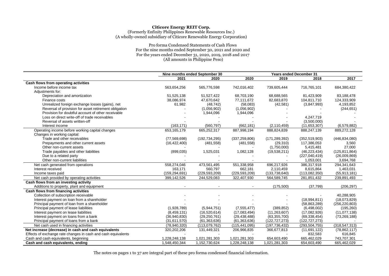#### Pro forma Condensed Statements of Cash Flows For the nine months ended September 30, 2021 and 2020 and For the years ended December 31, 2020, 2019, 2018 and 2017 (All amounts in Philippine Peso)

|                                                               |                 | Nine months ended September 30 |                 |                 | <b>Years ended December 31</b> |                 |
|---------------------------------------------------------------|-----------------|--------------------------------|-----------------|-----------------|--------------------------------|-----------------|
|                                                               | 2021            | 2020                           | 2020            | 2019            | 2018                           | 2017            |
| Cash flows from operating activities                          |                 |                                |                 |                 |                                |                 |
| Income before income tax                                      | 563,654,256     | 565,776,598                    | 742,016,402     | 739,605,444     | 716,765,101                    | 684,380,422     |
| Adjustments for:                                              |                 |                                |                 |                 |                                |                 |
| Depreciation and amortization                                 | 51,525,138      | 51,527,422                     | 68,703,190      | 68,688,565      | 81,423,909                     | 83,188,478      |
| Finance costs                                                 | 38,086,974      | 47,670,642                     | 77,111,672      | 82,683,870      | 104,811,710                    | 124,333,909     |
| Unrealized foreign exchange losses (gains), net               | 61,982          | (48, 742)                      | (58,083)        | (42, 581)       | (3,847,993)                    | 4,193,852       |
| Reversal of provision for asset retirement obligation         |                 | (1,056,902)                    | (1,056,902)     |                 |                                | (244, 651)      |
| Provision for doubtful account of other receivable            |                 | 1,944,096                      | 1,944,096       |                 |                                |                 |
| Loss on direct write-off of trade receivables                 |                 |                                |                 |                 | 4,247,719                      |                 |
| Reversal of assets written-off                                |                 |                                |                 |                 | (3,500,000)                    |                 |
| Interest income                                               | (163, 171)      | (560, 797)                     | (662, 181)      | (2, 110, 459)   | (11,653,307)                   | (6,579,882)     |
| Operating income before working capital changes               | 653,165,179     | 665,252,317                    | 887,998,194     | 888,824,839     | 888,247,139                    | 889,272,128     |
| Changes in working capital:                                   |                 |                                |                 |                 |                                |                 |
| Trade and other receivables                                   | (77, 569, 698)  | (192, 734, 295)                | (337, 259, 806) | (171, 289, 392) | (352, 519, 903)                | (446, 834, 080) |
| Prepayments and other current assets                          | (16, 422, 400)  | (481, 558)                     | (481, 558)      | (29, 310)       | 117,386,053                    | 3,560           |
| Other non-current assets                                      |                 |                                |                 | (1,750,000)     | 5,415,481                      | 27,000          |
| Trade payables and other liabilities                          | (899, 035)      | 1,525,031                      | 1,082,128       | (19,538,211)    | (46, 223, 434)                 | (125, 811, 864) |
| Due to a related party                                        |                 |                                |                 |                 | (227,040,419)                  | (26,009,869)    |
| Other non-current liabilities                                 |                 |                                |                 |                 | 1,053,001                      | 3,694,768       |
| Net cash generated from operations                            | 558,274,046     | 473,561,495                    | 551,338,958     | 696,217,926     | 386,317,918                    | 294,341,643     |
| Interest received                                             | 163,171         | 560,797                        | 662,181         | 2,110,459       | 8,615,864                      | 1,463,031       |
| Income taxes paid                                             | (159, 294, 691) | (229, 593, 209)                | (229, 593, 209) | (133, 738, 640) | (113,082,350)                  | (55, 913, 181)  |
| Net cash provided by operating activities                     | 399,142,526     | 244,529,083                    | 322,407,930     | 564,589,745     | 281,851,432                    | 239,891,493     |
| Cash flows from an investing activity                         |                 |                                |                 |                 |                                |                 |
| Additions to property, plant and equipment                    |                 |                                |                 | (175,500)       | (37, 799)                      | (206, 297)      |
| Cash flows from financing activities                          |                 |                                |                 |                 |                                |                 |
| Collection of subscription receivable                         |                 |                                |                 |                 |                                | 40,288,905      |
| Interest payment on loan from a shareholder                   |                 |                                |                 |                 | (18,994,811)                   | (18,073,829)    |
| Principal payment of loan from a shareholder                  |                 |                                |                 |                 | (58, 863, 289)                 | (256, 220, 803) |
| Principal payment of lease liabilities                        | (1,928,789)     | (5,944,751)                    | (7, 555, 477)   | (389, 852)      | (6,498,002)                    | (195, 260)      |
| Interest payment on lease liabilities                         | (8,459,131)     | (16,520,614)                   | (17,083,494)    | (11, 263, 607)  | (17,082,926)                   | (11, 077, 138)  |
| Interest payment on loans from a bank                         | (36,940,830)    | (29, 250, 761)                 | (29, 438, 488)  | (63, 355, 700)  | (69, 338, 454)                 | (73, 269, 188)  |
| Principal payment of loans from a bank                        | (31,611,570)    | (61, 363, 636)                 | (61, 363, 636)  | (122, 727, 273) | (122, 727, 273)                |                 |
| Net cash used in financing activities                         | (78,940,320)    | (113,079,762)                  | (115, 441, 095) | (197, 736, 432) | (293, 504, 755)                | (318, 547, 313) |
| Net increase (decrease) in cash and cash equivalents          | 320,202,206     | 131,449,321                    | 206,966,835     | 366,677,813     | (11,691,122)                   | (78, 862, 117)  |
| Effects of exchange rate changes in cash and cash equivalents |                 |                                |                 |                 | 832,583                        | 616,845         |
| Cash and cash equivalents, beginning                          | 1,228,248,138   | 1,021,281,303                  | 1,021,281,303   | 654,603,490     | 665,462,029                    | 743,707,301     |
| Cash and cash equivalents, ending                             | 1,548,450,344   | 1,152,730,624                  | 1,228,248,138   | 1,021,281,303   | 654,603,490                    | 665,462,029     |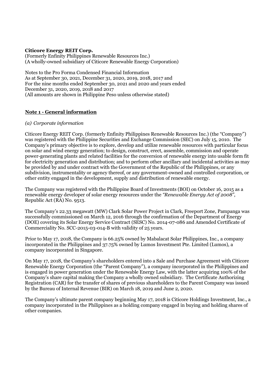#### **Citicore Energy REIT Corp.**

(Formerly Enfinity Philippines Renewable Resources Inc.) (A wholly-owned subsidiary of Citicore Renewable Energy Corporation)

Notes to the Pro Forma Condensed Financial Information As at September 30, 2021, December 31, 2020, 2019, 2018, 2017 and For the nine months ended September 30, 2021 and 2020 and years ended December 31, 2020, 2019, 2018 and 2017 (All amounts are shown in Philippine Peso unless otherwise stated)

# **Note 1 - General information**

#### *(a) Corporate information*

Citicore Energy REIT Corp. (formerly Enfinity Philippines Renewable Resources Inc.) (the "Company") was registered with the Philippine Securities and Exchange Commission (SEC) on July 15, 2010. The Company's primary objective is to explore, develop and utilize renewable resources with particular focus on solar and wind energy generation; to design, construct, erect, assemble, commission and operate power-generating plants and related facilities for the conversion of renewable energy into usable form fit for electricity generation and distribution; and to perform other ancillary and incidental activities as may be provided by and under contract with the Government of the Republic of the Philippines, or any subdivision, instrumentality or agency thereof, or any government-owned and controlled corporation, or other entity engaged in the development, supply and distribution of renewable energy.

The Company was registered with the Philippine Board of Investments (BOI) on October 16, 2015 as a renewable energy developer of solar energy resources under the *"Renewable Energy Act of 2008"*, Republic Act (RA) No. 9513.

The Company's 22.33 megawatt (MW) Clark Solar Power Project in Clark, Freeport Zone, Pampanga was successfully commissioned on March 12, 2016 through the confirmation of the Department of Energy (DOE) covering its Solar Energy Service Contract (SESC) No. 2014-07-086 and Amended Certificate of Commerciality No. SCC-2015-03-014-B with validity of 25 years.

Prior to May 17, 2018, the Company is 66.25% owned by Mabalacat Solar Philippines, Inc., a company incorporated in the Philippines and 37.75% owned by Lumos Investment Pte. Limited (Lumos), a company incorporated in Singapore.

On May 17, 2018, the Company's shareholders entered into a Sale and Purchase Agreement with Citicore Renewable Energy Corporation (the "Parent Company"), a company incorporated in the Philippines and is engaged in power generation under the Renewable Energy Law, with the latter acquiring 100% of the Company's share capital making the Company a wholly owned subsidiary. The Certificate Authorizing Registration (CAR) for the transfer of shares of previous shareholders to the Parent Company was issued by the Bureau of Internal Revenue (BIR) on March 18, 2019 and June 2, 2020.

The Company's ultimate parent company beginning May 17, 2018 is Citicore Holdings Investment, Inc., a company incorporated in the Philippines as a holding company engaged in buying and holding shares of other companies.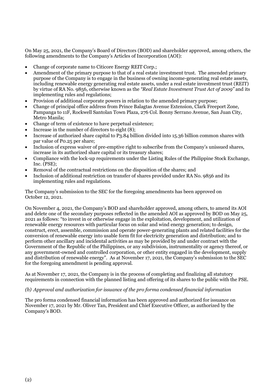On May 25, 2021, the Company's Board of Directors (BOD) and shareholder approved, among others, the following amendments to the Company's Articles of Incorporation (AOI):

- Change of corporate name to Citicore Energy REIT Corp.;
- Amendment of the primary purpose to that of a real estate investment trust. The amended primary purpose of the Company is to engage in the business of owning income-generating real estate assets, including renewable energy generating real estate assets, under a real estate investment trust (REIT) by virtue of RA No. 9856, otherwise known as the *"Real Estate Investment Trust Act of 2009"* and its implementing rules and regulations;
- Provision of additional corporate powers in relation to the amended primary purpose;
- Change of principal office address from Prince Balagtas Avenue Extension, Clark Freeport Zone, Pampanga to 11F, Rockwell Santolan Town Plaza, 276 Col. Bonny Serrano Avenue, San Juan City, Metro Manila;
- Change of term of existence to have perpetual existence;
- Increase in the number of directors to eight (8);
- Increase of authorized share capital to P3.84 billion divided into 15.36 billion common shares with par value of P0.25 per share;
- Inclusion of express waiver of pre-emptive right to subscribe from the Company's unissued shares, increase in its authorized share capital or its treasury shares;
- Compliance with the lock-up requirements under the Listing Rules of the Philippine Stock Exchange, Inc. (PSE);
- Removal of the contractual restrictions on the disposition of the shares; and
- Inclusion of additional restriction on transfer of shares provided under RA No. 9856 and its implementing rules and regulations.

The Company's submission to the SEC for the foregoing amendments has been approved on October 12, 2021.

On November 4, 2021, the Company's BOD and shareholder approved, among others, to amend its AOI and delete one of the secondary purposes reflected in the amended AOI as approved by BOD on May 25, 2021 as follows: "to invest in or otherwise engage in the exploitation, development, and utilization of renewable energy resources with particular focus on solar and wind energy generation; to design, construct, erect, assemble, commission and operate power-generating plants and related facilities for the conversion of renewable energy into usable form fit for electricity generation and distribution; and to perform other ancillary and incidental activities as may be provided by and under contract with the Government of the Republic of the Philippines, or any subdivision, instrumentality or agency thereof, or any government-owned and controlled corporation, or other entity engaged in the development, supply and distribution of renewable energy". As at November 17, 2021, the Company's submission to the SEC for the foregoing amendment is pending approval.

As at November 17, 2021, the Company is in the process of completing and finalizing all statutory requirements in connection with the planned listing and offering of its shares to the public with the PSE.

#### *(b) Approval and authorization for issuance of the pro forma condensed financial information*

The pro forma condensed financial information has been approved and authorized for issuance on November 17, 2021 by Mr. Oliver Tan, President and Chief Executive Officer, as authorized by the Company's BOD.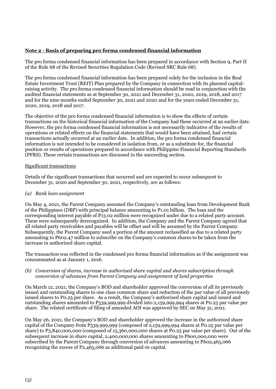# **Note 2 - Basis of preparing pro forma condensed financial information**

The pro forma condensed financial information has been prepared in accordance with Section 9, Part II of the Rule 68 of the Revised Securities Regulation Code (Revised SRC Rule 68).

The pro forma condensed financial information has been prepared solely for the inclusion in the Real Estate Investment Trust (REIT) Plan prepared by the Company in connection with its planned capitalraising activity. The pro forma condensed financial information should be read in conjunction with the audited financial statements as at September 30, 2021 and December 31, 2020, 2019, 2018, and 2017 and for the nine months ended September 30, 2021 and 2020 and for the years ended December 31, 2020, 2019, 2018 and 2017.

The objective of the pro forma condensed financial information is to show the effects of certain transactions on the historical financial information of the Company had these occurred at an earlier date. However, the pro forma condensed financial information is not necessarily indicative of the results of operations or related effects on the financial statements that would have been attained, had certain transactions actually occurred at an earlier date. In addition, the pro forma condensed financial information is not intended to be considered in isolation from, or as a substitute for, the financial position or results of operations prepared in accordance with Philippine Financial Reporting Standards (PFRS). These certain transactions are discussed in the succeeding section.

#### Significant transactions

Details of the significant transactions that occurred and are expected to occur subsequent to December 31, 2020 and September 30, 2021, respectively, are as follows:

#### *(a) Bank loan assignment*

On May 4, 2021, the Parent Company assumed the Company's outstanding loan from Development Bank of the Philippines (DBP) with principal balance amounting to P1.01 billion. The loan and the corresponding interest payable of P13.02 million were recognized under due to a related party account. These were subsequently derecognized. In addition, the Company and the Parent Company agreed that all related party receivables and payables will be offset and will be assumed by the Parent Company. Subsequently, the Parent Company used a portion of the amount reclassified as due to a related party amounting to P602.47 million to subscribe on the Company's common shares to be taken from the increase in authorized share capital.

The transaction was reflected in the condensed pro forma financial information as if the assignment was consummated as at January 1, 2016.

#### *(b) Conversion of shares, increase in authorized share capital and shares subscription through conversion of advances from Parent Company and assignment of land properties*

On March 12, 2021, the Company's BOD and shareholder approved the conversion of all its previously issued and outstanding shares to one class common share and reduction of the par value of all previously issued shares to P0.25 per share. As a result, the Company's authorized share capital and issued and outstanding shares amounted to P539,999,999 divided into 2,159,999,994 shares at P0.25 par value per share. The related certificate of filing of amended AOI was approved by SEC on May 31, 2021.

On May 26, 2021, the Company's BOD and shareholder approved the increase in the authorized share capital of the Company from P539,999,999 (composed of 2,159,999,994 shares at P0.25 par value per share) to P3,840,000,000 (composed of 15,360,000,000 shares at P0.25 par value per share). Out of the subsequent increase in share capital, 2,400,000,000 shares amounting to P600,000,000 were subscribed by the Parent Company through conversion of advances amounting to P602,465,066 recognizing the excess of P2,465,066 as additional paid-in capital.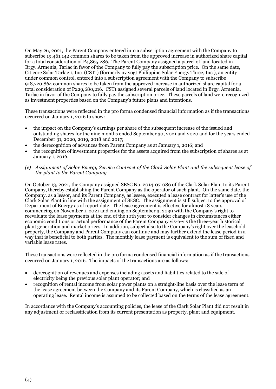On May 26, 2021, the Parent Company entered into a subscription agreement with the Company to subscribe 19,461,142 common shares to be taken from the approved increase in authorized share capital for a total consideration of P4,865,286. The Parent Company assigned a parcel of land located in Brgy. Armenia, Tarlac in favor of the Company to fully pay the subscription price. On the same date, Citicore Solar Tarlac 1, Inc. (CST1) (formerly nv vogt Philippine Solar Energy Three, Inc.), an entity under common control, entered into a subscription agreement with the Company to subscribe 918,720,864 common shares to be taken from the approved increase in authorized share capital for a total consideration of P229,680,216. CST1 assigned several parcels of land located in Brgy. Armenia, Tarlac in favor of the Company to fully pay the subscription price. These parcels of land were recognized as investment properties based on the Company's future plans and intentions.

These transactions were reflected in the pro forma condensed financial information as if the transactions occurred on January 1, 2016 to show:

- the impact on the Company's earnings per share of the subsequent increase of the issued and outstanding shares for the nine months ended September 30, 2021 and 2020 and for the years ended December 31, 2020, 2019, 2018 and 2017;
- the derecognition of advances from Parent Company as at January 1, 2016; and
- the recognition of investment properties for the assets acquired from the subscription of shares as at January 1, 2016.
- *(c) Assignment of Solar Energy Service Contract of the Clark Solar Plant and the subsequent lease of the plant to the Parent Company*

On October 13, 2021, the Company assigned SESC No. 2014-07-086 of the Clark Solar Plant to its Parent Company, thereby establishing the Parent Company as the operator of such plant. On the same date, the Company, as a lessor, and its Parent Company, as lessee, executed a lease contract for latter's use of the Clark Solar Plant in line with the assignment of SESC. The assignment is still subject to the approval of Department of Energy as of report date. The lease agreement is effective for almost 18 years commencing on November 1, 2021 and ending on September 3, 2039 with the Company's right to reevaluate the lease payments at the end of the 10th year to consider changes in circumstances either economic conditions or actual performance of the Parent Company vis-a-vis the three-year historical plant generation and market prices. In addition, subject also to the Company's right over the leasehold property, the Company and Parent Company can continue and may further extend the lease period in a way that is beneficial to both parties. The monthly lease payment is equivalent to the sum of fixed and variable lease rates.

These transactions were reflected in the pro forma condensed financial information as if the transactions occurred on January 1, 2016. The impacts of the transactions are as follows:

- derecognition of revenues and expenses including assets and liabilities related to the sale of electricity being the previous solar plant operator; and
- recognition of rental income from solar power plants on a straight-line basis over the lease term of the lease agreement between the Company and its Parent Company, which is classified as an operating lease. Rental income is assumed to be collected based on the terms of the lease agreement.

In accordance with the Company's accounting policies, the lease of the Clark Solar Plant did not result in any adjustment or reclassification from its current presentation as property, plant and equipment.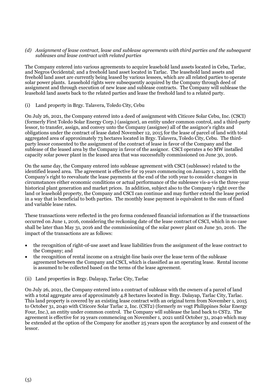#### *(d) Assignment of lease contract, lease and sublease agreements with third parties and the subsequent subleases and lease contract with related parties*

The Company entered into various agreements to acquire leasehold land assets located in Cebu, Tarlac, and Negros Occidental; and a freehold land asset located in Tarlac. The leasehold land assets and freehold land asset are currently being leased by various lessees, which are all related parties to operate solar power plants. Leasehold rights were subsequently acquired by the Company through deed of assignment and through execution of new lease and sublease contracts. The Company will sublease the leasehold land assets back to the related parties and lease the freehold land to a related party.

# (i) Land property in Brgy. Talavera, Toledo City, Cebu

On July 26, 2021, the Company entered into a deed of assignment with Citicore Solar Cebu, Inc. (CSCI) (formerly First Toledo Solar Energy Corp.) (assignor), an entity under common control, and a third-party lessor, to transfer, assign, and convey unto the Company (assignee) all of the assignor's rights and obligations under the contract of lease dated November 12, 2015 for the lease of parcel of land with total aggregated area of approximately 73 hectares located in Brgy. Talavera, Toledo City, Cebu. The thirdparty lessor consented to the assignment of the contract of lease in favor of the Company and the sublease of the leased area by the Company in favor of the assignor. CSCI operates a 60 MW installed capacity solar power plant in the leased area that was successfully commissioned on June 30, 2016.

On the same day, the Company entered into sublease agreement with CSCI (sublessee) related to the identified leased area. The agreement is effective for 19 years commencing on January 1, 2022 with the Company's right to reevaluate the lease payments at the end of the 10th year to consider changes in circumstances either economic conditions or actual performance of the sublessee vis-a-vis the three-year historical plant generation and market prices. In addition, subject also to the Company's right over the land or leasehold property, the Company and CSCI can continue and may further extend the lease period in a way that is beneficial to both parties. The monthly lease payment is equivalent to the sum of fixed and variable lease rates.

These transactions were reflected in the pro forma condensed financial information as if the transactions occurred on June 1, 2016, considering the reckoning date of the lease contract of CSCI, which in no case shall be later than May 31, 2016 and the commissioning of the solar power plant on June 30, 2016. The impact of the transactions are as follows:

- the recognition of right-of-use asset and lease liabilities from the assignment of the lease contract to the Company; and
- the recognition of rental income on a straight-line basis over the lease term of the sublease agreement between the Company and CSCI, which is classified as an operating lease. Rental income is assumed to be collected based on the terms of the lease agreement.
- (ii) Land properties in Brgy. Dalayap, Tarlac City, Tarlac

On July 26, 2021, the Company entered into a contract of sublease with the owners of a parcel of land with a total aggregate area of approximately 4.8 hectares located in Brgy. Dalayap, Tarlac City, Tarlac. This land property is covered by an existing lease contract with an original term from November 1, 2015 to October 31, 2040 with Citicore Solar Tarlac 2, Inc. (CST2) (formerly nv vogt Philippines Solar Energy Four, Inc.), an entity under common control. The Company will sublease the land back to CST2. The agreement is effective for 19 years commencing on November 1, 2021 until October 31, 2040 which may be extended at the option of the Company for another 25 years upon the acceptance by and consent of the lessor.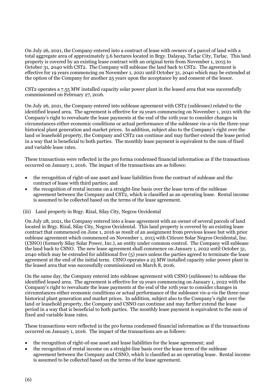On July 26, 2021, the Company entered into a contract of lease with owners of a parcel of land with a total aggregate area of approximately 5.6 hectares located in Brgy. Dalayap, Tarlac City, Tarlac. This land property is covered by an existing lease contract with an original term from November 1, 2015 to October 31, 2040 with CST2. The Company will sublease the land back to CST2. The agreement is effective for 19 years commencing on November 1, 2021 until October 31, 2040 which may be extended at the option of the Company for another 25 years upon the acceptance by and consent of the lessor.

CST2 operates a 7.55 MW installed capacity solar power plant in the leased area that was successfully commissioned on February 27, 2016.

On July 26, 2021, the Company entered into sublease agreement with CST2 (sublessee) related to the identified leased area. The agreement is effective for 19 years commencing on November 1, 2021 with the Company's right to reevaluate the lease payments at the end of the 10th year to consider changes in circumstances either economic conditions or actual performance of the sublessee vis-a-vis the three-year historical plant generation and market prices. In addition, subject also to the Company's right over the land or leasehold property, the Company and CST2 can continue and may further extend the lease period in a way that is beneficial to both parties. The monthly lease payment is equivalent to the sum of fixed and variable lease rates.

These transactions were reflected in the pro forma condensed financial information as if the transactions occurred on January 1, 2016. The impact of the transactions are as follows:

- the recognition of right-of-use asset and lease liabilities from the contract of sublease and the contract of lease with third parties; and
- the recognition of rental income on a straight-line basis over the lease term of the sublease agreement between the Company and CST2, which is classified as an operating lease. Rental income is assumed to be collected based on the terms of the lease agreement.

#### (iii) Land property in Brgy. Rizal, Silay City, Negros Occidental

On July 28, 2021, the Company entered into a lease agreement with an owner of several parcels of land located in Brgy. Rizal, Silay City, Negros Occidental. This land property is covered by an existing lease contract that commenced on June 1, 2016 as result of an assignment from previous lessee but with prior sublease agreement which commenced on November 1, 2015 with Citicore Solar Negros Occidental, Inc. (CSNO) (formerly Silay Solar Power, Inc.), an entity under common control. The Company will sublease the land back to CSNO. The new lease agreement shall commence on January 1, 2022 until October 31, 2040 which may be extended for additional five (5) years unless the parties agreed to terminate the lease agreement at the end of the initial term. CSNO operates a 25 MW installed capacity solar power plant in the leased area that was successfully commissioned on March 8, 2016.

On the same day, the Company entered into sublease agreement with CSNO (sublessee) to sublease the identified leased area. The agreement is effective for 19 years commencing on January 1, 2022 with the Company's right to reevaluate the lease payments at the end of the 10th year to consider changes in circumstances either economic conditions or actual performance of the sublessee vis-a-vis the three-year historical plant generation and market prices. In addition, subject also to the Company's right over the land or leasehold property, the Company and CSNO can continue and may further extend the lease period in a way that is beneficial to both parties. The monthly lease payment is equivalent to the sum of fixed and variable lease rates.

These transactions were reflected in the pro forma condensed financial information as if the transactions occurred on January 1, 2016. The impact of the transactions are as follows:

- the recognition of right-of-use asset and lease liabilities for the lease agreement; and
- the recognition of rental income on a straight-line basis over the lease term of the sublease agreement between the Company and CSNO, which is classified as an operating lease. Rental income is assumed to be collected based on the terms of the lease agreement.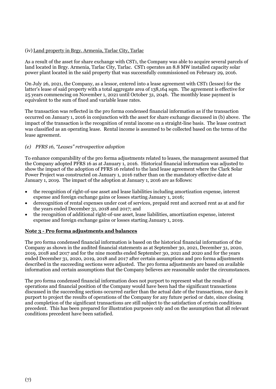# (iv) Land property in Brgy. Armenia, Tarlac City, Tarlac

As a result of the asset for share exchange with CST1, the Company was able to acquire several parcels of land located in Brgy. Armenia, Tarlac City, Tarlac. CST1 operates an 8.8 MW installed capacity solar power plant located in the said property that was successfully commissioned on February 29, 2016.

On July 26, 2021, the Company, as a lessor, entered into a lease agreement with CST1 (lessee) for the latter's lease of said property with a total aggregate area of 138,164 sqm. The agreement is effective for 25 years commencing on November 1, 2021 until October 31, 2046. The monthly lease payment is equivalent to the sum of fixed and variable lease rates.

The transaction was reflected in the pro forma condensed financial information as if the transaction occurred on January 1, 2016 in conjunction with the asset for share exchange discussed in (b) above. The impact of the transaction is the recognition of rental income on a straight-line basis. The lease contract was classified as an operating lease. Rental income is assumed to be collected based on the terms of the lease agreement.

# *(e) PFRS 16, "Leases" retrospective adoption*

To enhance comparability of the pro forma adjustments related to leases, the management assumed that the Company adopted PFRS 16 as at January 1, 2016. Historical financial information was adjusted to show the impact of the adoption of PFRS 16 related to the land lease agreement where the Clark Solar Power Project was constructed on January 1, 2016 rather than on the mandatory effective date at January 1, 2019. The impact of the adoption at January 1, 2016 are as follows:

- the recognition of right-of-use asset and lease liabilities including amortization expense, interest expense and foreign exchange gains or losses starting January 1, 2016;
- derecognition of rental expenses under cost of services, prepaid rent and accrued rent as at and for the years ended December 31, 2018 and 2017; and
- the recognition of additional right-of-use asset, lease liabilities, amortization expense, interest expense and foreign exchange gains or losses starting January 1, 2019.

#### **Note 3 - Pro forma adjustments and balances**

The pro forma condensed financial information is based on the historical financial information of the Company as shown in the audited financial statements as at September 30, 2021, December 31, 2020, 2019, 2018 and 2017 and for the nine months ended September 30, 2021 and 2020 and for the years ended December 31, 2020, 2019, 2018 and 2017 after certain assumptions and pro forma adjustments described in the succeeding sections were adjusted. The pro forma adjustments are based on available information and certain assumptions that the Company believes are reasonable under the circumstances.

The pro forma condensed financial information does not purport to represent what the results of operations and financial position of the Company would have been had the significant transactions discussed in the succeeding sections occurred earlier than the actual date of the transactions, nor does it purport to project the results of operations of the Company for any future period or date, since closing and completion of the significant transactions are still subject to the satisfaction of certain conditions precedent. This has been prepared for illustration purposes only and on the assumption that all relevant conditions precedent have been satisfied.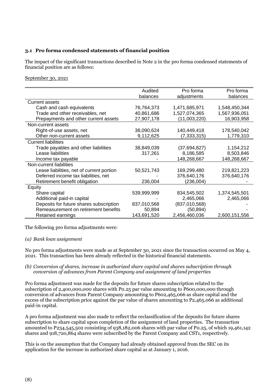# **3.1 Pro forma condensed statements of financial position**

The impact of the significant transactions described in Note 2 in the pro forma condensed statements of financial position are as follows:

September 30, 2021

|                                           | Audited     | Pro forma     | Pro forma     |
|-------------------------------------------|-------------|---------------|---------------|
|                                           | balances    | adjustments   | balances      |
| <b>Current assets</b>                     |             |               |               |
| Cash and cash equivalents                 | 76,764,373  | 1,471,685,971 | 1,548,450,344 |
| Trade and other receivables, net          | 40,861,686  | 1,527,074,365 | 1,567,936,051 |
| Prepayments and other current assets      | 27,907,178  | (11,003,220)  | 16,903,958    |
| Non-current assets                        |             |               |               |
| Right-of-use assets, net                  | 38,090,624  | 140,449,418   | 178,540,042   |
| Other non-current assets                  | 9,112,625   | (7, 333, 315) | 1,779,310     |
| <b>Current liabilities</b>                |             |               |               |
| Trade payables and other liabilities      | 38,849,039  | (37,694,827)  | 1,154,212     |
| Lease liabilities                         | 317,261     | 8,186,585     | 8,503,846     |
| Income tax payable                        |             | 148,268,667   | 148,268,667   |
| Non-current liabilities                   |             |               |               |
| Lease liabilities, net of current portion | 50,521,743  | 169,299,480   | 219,821,223   |
| Deferred income tax liabilities, net      |             | 376,640,176   | 376,640,176   |
| Retirement benefit obligation             | 236,004     | (236,004)     |               |
| Equity                                    |             |               |               |
| Share capital                             | 539,999,999 | 834,545,502   | 1,374,545,501 |
| Additional paid-in capital                |             | 2,465,066     | 2,465,066     |
| Deposits for future shares subscription   | 837,010,568 | (837,010,568) |               |
| Remeasurement on retirement benefits      | 50,894      | (50, 894)     |               |
| Retained earnings                         | 143,691,520 | 2,456,460,036 | 2,600,151,556 |

The following pro forma adjustments were:

#### *(a) Bank loan assignment*

No pro forma adjustments were made as at September 30, 2021 since the transaction occurred on May 4, 2021. This transaction has been already reflected in the historical financial statements.

#### *(b) Conversion of shares, increase in authorized share capital and shares subscription through conversion of advances from Parent Company and assignment of land properties*

Pro forma adjustment was made for the deposits for future shares subscription related to the subscription of 2,400,000,000 shares with P0.25 par value amounting to P600,000,000 through conversion of advances from Parent Company amounting to P602,465,066 as share capital and the excess of the subscription price against the par value of shares amounting to P2,465,066 as additional paid-in capital.

A pro forma adjustment was also made to reflect the reclassification of the deposits for future shares subscription to share capital upon completion of the assignment of land properties. The transaction amounted to P234,545,502 consisting of 938,182,006 shares with par value of P0.25, of which 19,461,142 shares and 918,720,864 shares were subscribed by the Parent Company and CST1, respectively.

This is on the assumption that the Company had already obtained approval from the SEC on its application for the increase in authorized share capital as at January 1, 2016.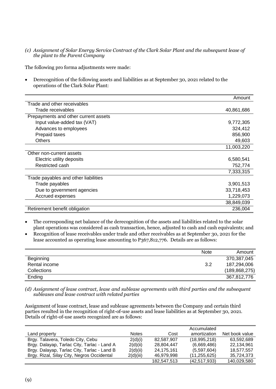*(c) Assignment of Solar Energy Service Contract of the Clark Solar Plant and the subsequent lease of the plant to the Parent Company*

The following pro forma adjustments were made:

• Derecognition of the following assets and liabilities as at September 30, 2021 related to the operations of the Clark Solar Plant:

|                                      | Amount     |
|--------------------------------------|------------|
| Trade and other receivables          |            |
| Trade receivables                    | 40,861,686 |
| Prepayments and other current assets |            |
| Input value-added tax (VAT)          | 9,772,305  |
| Advances to employees                | 324,412    |
| Prepaid taxes                        | 856,900    |
| <b>Others</b>                        | 49,603     |
|                                      | 11,003,220 |
| Other non-current assets             |            |
| Electric utility deposits            | 6,580,541  |
| Restricted cash                      | 752,774    |
|                                      | 7,333,315  |
| Trade payables and other liabilities |            |
| Trade payables                       | 3,901,513  |
| Due to government agencies           | 33,718,453 |
| Accrued expenses                     | 1,229,073  |
|                                      | 38,849,039 |
| Retirement benefit obligation        | 236,004    |

- The corresponding net balance of the derecognition of the assets and liabilities related to the solar plant operations was considered as cash transaction, hence, adjusted to cash and cash equivalents; and
- Recognition of lease receivables under trade and other receivables as at September 30, 2021 for the lease accounted as operating lease amounting to P367,812,776. Details are as follows:

|                    | <b>Note</b> | Amount          |
|--------------------|-------------|-----------------|
| Beginning          |             | 370,387,045     |
| Rental income      | 3.2         | 187,294,006     |
| <b>Collections</b> |             | (189, 868, 275) |
| Ending             |             | 367,812,776     |

*(d) Assignment of lease contract, lease and sublease agreements with third parties and the subsequent subleases and lease contract with related parties*

Assignment of lease contract, lease and sublease agreements between the Company and certain third parties resulted in the recognition of right-of-use assets and lease liabilities as at September 30, 2021. Details of right-of-use assets recognized are as follows:

|                                             |              |             | Accumulated    |                |
|---------------------------------------------|--------------|-------------|----------------|----------------|
| Land property                               | <b>Notes</b> | Cost        | amortization   | Net book value |
| Brgy. Talavera, Toledo City, Cebu           | 2(d)(i)      | 82.587.907  | (18,995,218)   | 63,592,689     |
| Brgy. Dalayap, Tarlac City, Tarlac - Land A | 2(d)(ii)     | 28.804.447  | (6,669,486)    | 22,134,961     |
| Brgy. Dalayap, Tarlac City, Tarlac - Land B | 2(d)(ii)     | 24,175,161  | (5,597,604)    | 18,577,557     |
| Brgy. Rizal, Silay City, Negros Occidental  | 2(d)(iii)    | 46,979,998  | (11,255,625)   | 35,724,373     |
|                                             |              | 182,547,513 | (42, 517, 933) | 140,029,580    |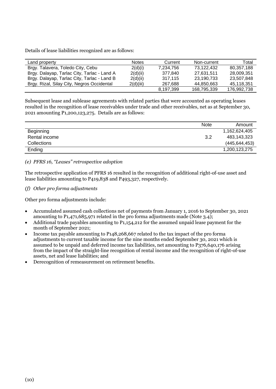Details of lease liabilities recognized are as follows:

| Land property                               | <b>Notes</b> | Current   | Non-current | Total       |
|---------------------------------------------|--------------|-----------|-------------|-------------|
| Brgy. Talavera, Toledo City, Cebu           | 2(d)(i)      | 7,234,756 | 73.122.432  | 80.357.188  |
| Brgy. Dalayap, Tarlac City, Tarlac - Land A | 2(d)(ii)     | 377.840   | 27.631.511  | 28.009.351  |
| Brgy. Dalayap, Tarlac City, Tarlac - Land B | 2(d)(ii)     | 317.115   | 23,190,733  | 23,507,848  |
| Brgy. Rizal, Silay City, Negros Occidental  | 2(d)(iii)    | 267.688   | 44,850,663  | 45,118,351  |
|                                             |              | 8,197,399 | 168,795,339 | 176,992,738 |

Subsequent lease and sublease agreements with related parties that were accounted as operating leases resulted in the recognition of lease receivables under trade and other receivables, net as at September 30, 2021 amounting P1,200,123,275. Details are as follows:

|                    | <b>Note</b> | Amount          |
|--------------------|-------------|-----------------|
| <b>Beginning</b>   |             | 1,162,624,405   |
| Rental income      | 3.2         | 483,143,323     |
| <b>Collections</b> |             | (445, 644, 453) |
| Ending             |             | 1,200,123,275   |

# *(e) PFRS 16, "Leases" retrospective adoption*

The retrospective application of PFRS 16 resulted in the recognition of additional right-of-use asset and lease liabilities amounting to P419,838 and P493,327, respectively.

# *(f) Other pro forma adjustments*

Other pro forma adjustments include:

- Accumulated assumed cash collections net of payments from January 1, 2016 to September 30, 2021 amounting to P1,471,685,971 related in the pro forma adjustments made (Note 3.4);
- Additional trade payables amounting to P1,154,212 for the assumed unpaid lease payment for the month of September 2021;
- Income tax payable amounting to P148,268,667 related to the tax impact of the pro forma adjustments to current taxable income for the nine months ended September 30, 2021 which is assumed to be unpaid and deferred income tax liabilities, net amounting to P376,640,176 arising from the impact of the straight-line recognition of rental income and the recognition of right-of-use assets, net and lease liabilities; and
- Derecognition of remeasurement on retirement benefits.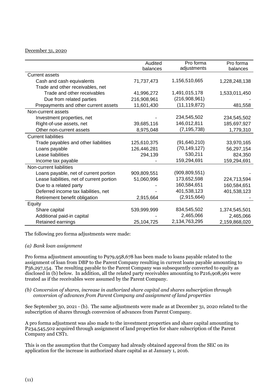#### December 31, 2020

|                                           | Audited     | Pro forma       | Pro forma     |
|-------------------------------------------|-------------|-----------------|---------------|
|                                           | balances    | adjustments     | balances      |
| <b>Current assets</b>                     |             |                 |               |
| Cash and cash equivalents                 | 71,737,473  | 1,156,510,665   | 1,228,248,138 |
| Trade and other receivables, net          |             |                 |               |
| Trade and other receivables               | 41,996,272  | 1,491,015,178   | 1,533,011,450 |
| Due from related parties                  | 216,908,961 | (216,908,961)   |               |
| Prepayments and other current assets      | 11,601,430  | (11, 119, 872)  | 481,558       |
| Non-current assets                        |             |                 |               |
| Investment properties, net                |             | 234,545,502     | 234,545,502   |
| Right-of-use assets, net                  | 39,685,116  | 146,012,811     | 185,697,927   |
| Other non-current assets                  | 8,975,048   | (7, 195, 738)   | 1,779,310     |
| <b>Current liabilities</b>                |             |                 |               |
| Trade payables and other liabilities      | 125,610,375 | (91, 640, 210)  | 33,970,165    |
| Loans payable                             | 126,446,281 | (70, 149, 127)  | 56,297,154    |
| Lease liabilities                         | 294,139     | 530,211         | 824,350       |
| Income tax payable                        |             | 159,294,691     | 159,294,691   |
| Non-current liabilities                   |             |                 |               |
| Loans payable, net of current portion     | 909,809,551 | (909, 809, 551) |               |
| Lease liabilities, net of current portion | 51,060,996  | 173,652,598     | 224,713,594   |
| Due to a related party                    |             | 160,584,651     | 160,584,651   |
| Deferred income tax liabilities, net      |             | 401,538,123     | 401,538,123   |
| Retirement benefit obligation             | 2,915,664   | (2,915,664)     |               |
| Equity                                    |             |                 |               |
| Share capital                             | 539,999,999 | 834,545,502     | 1,374,545,501 |
| Additional paid-in capital                |             | 2,465,066       | 2,465,066     |
| Retained earnings                         | 25,104,725  | 2,134,763,295   | 2,159,868,020 |

The following pro forma adjustments were made:

### *(a) Bank loan assignment*

Pro forma adjustment amounting to P979,958,678 has been made to loans payable related to the assignment of loan from DBP to the Parent Company resulting in current loans payable amounting to P56,297,154. The resulting payable to the Parent Company was subsequently converted to equity as disclosed in (b) below. In addition, all the related party receivables amounting to P216,908,961 were treated as if the receivables were assumed by the Parent Company.

#### *(b) Conversion of shares, increase in authorized share capital and shares subscription through conversion of advances from Parent Company and assignment of land properties*

See September 30, 2021 - (b). The same adjustments were made as at December 31, 2020 related to the subscription of shares through conversion of advances from Parent Company.

A pro forma adjustment was also made to the investment properties and share capital amounting to P234,545,502 acquired through assignment of land properties for share subscription of the Parent Company and CST1.

This is on the assumption that the Company had already obtained approval from the SEC on its application for the increase in authorized share capital as at January 1, 2016.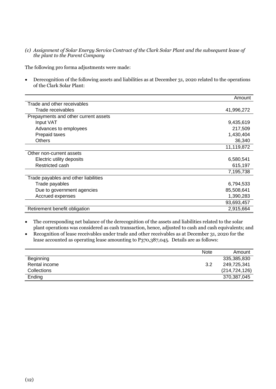*(c) Assignment of Solar Energy Service Contract of the Clark Solar Plant and the subsequent lease of the plant to the Parent Company*

The following pro forma adjustments were made:

• Derecognition of the following assets and liabilities as at December 31, 2020 related to the operations of the Clark Solar Plant:

|                                      | Amount     |
|--------------------------------------|------------|
| Trade and other receivables          |            |
| Trade receivables                    | 41,996,272 |
| Prepayments and other current assets |            |
| Input VAT                            | 9,435,619  |
| Advances to employees                | 217,509    |
| Prepaid taxes                        | 1,430,404  |
| <b>Others</b>                        | 36,340     |
|                                      | 11,119,872 |
| Other non-current assets             |            |
| Electric utility deposits            | 6,580,541  |
| Restricted cash                      | 615,197    |
|                                      | 7,195,738  |
| Trade payables and other liabilities |            |
| Trade payables                       | 6,794,533  |
| Due to government agencies           | 85,508,641 |
| Accrued expenses                     | 1,390,283  |
|                                      | 93,693,457 |
| Retirement benefit obligation        | 2,915,664  |

- The corresponding net balance of the derecognition of the assets and liabilities related to the solar plant operations was considered as cash transaction, hence, adjusted to cash and cash equivalents; and
- Recognition of lease receivables under trade and other receivables as at December 31, 2020 for the lease accounted as operating lease amounting to P370,387,045. Details are as follows:

|                    | <b>Note</b> | Amount          |
|--------------------|-------------|-----------------|
| Beginning          |             | 335,385,830     |
| Rental income      | 3.2         | 249,725,341     |
| <b>Collections</b> |             | (214, 724, 126) |
| Ending             |             | 370,387,045     |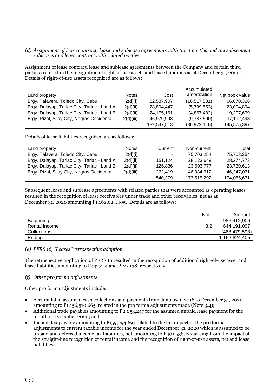#### *(d) Assignment of lease contract, lease and sublease agreements with third parties and the subsequent subleases and lease contract with related parties*

Assignment of lease contract, lease and sublease agreements between the Company and certain third parties resulted in the recognition of right-of-use assets and lease liabilities as at December 31, 2020. Details of right-of-use assets recognized are as follows:

|                                             |              |             | Accumulated    |                |
|---------------------------------------------|--------------|-------------|----------------|----------------|
| Land property                               | <b>Notes</b> | Cost        | amortization   | Net book value |
| Brgy. Talavera, Toledo City, Cebu           | 2(d)(i)      | 82,587,907  | (16, 517, 581) | 66,070,326     |
| Brgy. Dalayap, Tarlac City, Tarlac - Land A | 2(d)(ii)     | 28.804.447  | (5,799,553)    | 23,004,894     |
| Brgy. Dalayap, Tarlac City, Tarlac - Land B | 2(d)(ii)     | 24,175,161  | (4,867,482)    | 19,307,679     |
| Brgy. Rizal, Silay City, Negros Occidental  | 2(d)(iii)    | 46.979.998  | (9,787,500)    | 37,192,498     |
|                                             |              | 182,547,513 | (36, 972, 116) | 145,575,397    |

Details of lease liabilities recognized are as follows:

| Land property                               | <b>Notes</b> | Current | Non-current | Total       |
|---------------------------------------------|--------------|---------|-------------|-------------|
| Brgy. Talavera, Toledo City, Cebu           | 2(d)(i)      |         | 75.703.254  | 75.703.254  |
| Brgy. Dalayap, Tarlac City, Tarlac - Land A | 2(d)(ii)     | 151.124 | 28,123,649  | 28.274.773  |
| Brgy. Dalayap, Tarlac City, Tarlac - Land B | 2(d)(ii)     | 126.836 | 23.603.777  | 23.730.613  |
| Brgy. Rizal, Silay City, Negros Occidental  | 2(d)(iii)    | 262.419 | 46.084.612  | 46.347.031  |
|                                             |              | 540.379 | 173,515,292 | 174,055,671 |

Subsequent lease and sublease agreements with related parties that were accounted as operating leases resulted in the recognition of lease receivables under trade and other receivables, net as at December 31, 2020 amounting P1,162,624,405. Details are as follows:

|               | <b>Note</b> | Amount          |
|---------------|-------------|-----------------|
| Beginning     |             | 986,912,906     |
| Rental income | 3.2         | 644,191,097     |
| Collections   |             | (468, 479, 598) |
| Ending        |             | 1,162,624,405   |

#### *(e) PFRS 16, "Leases" retrospective adoption*

The retrospective application of PFRS 16 resulted in the recognition of additional right-of-use asset and lease liabilities amounting to P437,414 and P127,138, respectively.

#### *(f) Other pro forma adjustments*

Other pro forma adjustments include:

- Accumulated assumed cash collections and payments from January 1, 2016 to December 31, 2020 amounting to P1,156,510,665 related in the pro forma adjustments made (Note 3.4);
- Additional trade payables amounting to P2,053,247 for the assumed unpaid lease payment for the month of December 2020; and
- Income tax payable amounting to P159,294,691 related to the tax impact of the pro forma adjustments to current taxable income for the year ended December 31, 2020 which is assumed to be unpaid and deferred income tax liabilities, net amounting to P401,538,123 arising from the impact of the straight-line recognition of rental income and the recognition of right-of-use assets, net and lease liabilities.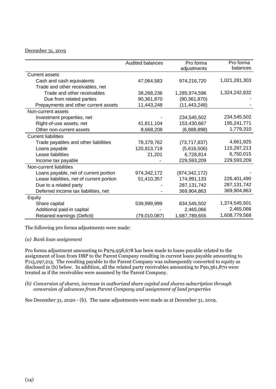# December 31, 2019

|                                           | <b>Audited balances</b> | Pro forma       | Pro forma     |
|-------------------------------------------|-------------------------|-----------------|---------------|
|                                           |                         | adjustments     | balances      |
| <b>Current assets</b>                     |                         |                 |               |
| Cash and cash equivalents                 | 47,064,583              | 974,216,720     | 1,021,281,303 |
| Trade and other receivables, net          |                         |                 |               |
| Trade and other receivables               | 38,268,236              | 1,285,974,596   | 1,324,242,832 |
| Due from related parties                  | 90,361,870              | (90, 361, 870)  |               |
| Prepayments and other current assets      | 11,443,248              | (11, 443, 248)  |               |
| Non-current assets                        |                         |                 |               |
| Investment properties, net                |                         | 234,545,502     | 234,545,502   |
| Right-of-use assets, net                  | 41,811,104              | 153,430,667     | 195,241,771   |
| Other non-current assets                  | 8,668,208               | (6,888,898)     | 1,779,310     |
| <b>Current liabilities</b>                |                         |                 |               |
| Trade payables and other liabilities      | 78,379,762              | (73, 717, 837)  | 4,661,925     |
| Loans payable                             | 120,913,719             | (5,616,506)     | 115,297,213   |
| Lease liabilities                         | 21,201                  | 6,728,814       | 6,750,015     |
| Income tax payable                        |                         | 229,593,209     | 229,593,209   |
| Non-current liabilities                   |                         |                 |               |
| Loans payable, net of current portion     | 974,342,172             | (974, 342, 172) |               |
| Lease liabilities, net of current portion | 51,410,357              | 174,991,133     | 226,401,490   |
| Due to a related party                    |                         | 287, 131, 742   | 287, 131, 742 |
| Deferred income tax liabilities, net      |                         | 369,904,863     | 369,904,863   |
| Equity                                    |                         |                 |               |
| Share capital                             | 539,999,999             | 834,545,502     | 1,374,545,501 |
| Additional paid-in capital                |                         | 2,465,066       | 2,465,066     |
| Retained earnings (Deficit)               | (79,010,087)            | 1,687,789,655   | 1,608,779,568 |

The following pro forma adjustments were made:

#### *(a) Bank loan assignment*

Pro forma adjustment amounting to P979,958,678 has been made to loans payable related to the assignment of loan from DBP to the Parent Company resulting in current loans payable amounting to P115,297,213. The resulting payable to the Parent Company was subsequently converted to equity as disclosed in (b) below. In addition, all the related party receivables amounting to P90,361,870 were treated as if the receivables were assumed by the Parent Company.

#### *(b) Conversion of shares, increase in authorized share capital and shares subscription through conversion of advances from Parent Company and assignment of land properties*

See December 31, 2020 - (b). The same adjustments were made as at December 31, 2019.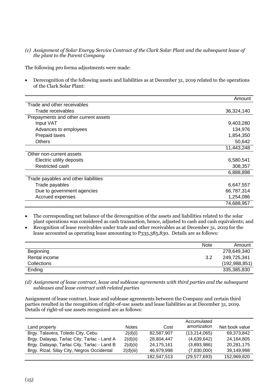*(c) Assignment of Solar Energy Service Contract of the Clark Solar Plant and the subsequent lease of the plant to the Parent Company*

The following pro forma adjustments were made:

• Derecognition of the following assets and liabilities as at December 31, 2019 related to the operations of the Clark Solar Plant:

|                                      | Amount     |
|--------------------------------------|------------|
| Trade and other receivables          |            |
| Trade receivables                    | 36,324,140 |
| Prepayments and other current assets |            |
| Input VAT                            | 9,403,280  |
| Advances to employees                | 134,976    |
| Prepaid taxes                        | 1,854,350  |
| <b>Others</b>                        | 50,642     |
|                                      | 11,443,248 |
| Other non-current assets             |            |
| Electric utility deposits            | 6,580,541  |
| Restricted cash                      | 308,357    |
|                                      | 6,888,898  |
| Trade payables and other liabilities |            |
| Trade payables                       | 6,647,557  |
| Due to government agencies           | 66,787,314 |
| Accrued expenses                     | 1,254,086  |
|                                      | 74,688,957 |

• The corresponding net balance of the derecognition of the assets and liabilities related to the solar plant operations was considered as cash transaction, hence, adjusted to cash and cash equivalents; and

• Recognition of lease receivables under trade and other receivables as at December 31, 2019 for the lease accounted as operating lease amounting to P335,385,830. Details are as follows:

|               | <b>Note</b> | Amount          |
|---------------|-------------|-----------------|
| Beginning     |             | 278,649,340     |
| Rental income | 3.2         | 249,725,341     |
| Collections   |             | (192, 988, 851) |
| Ending        |             | 335,385,830     |

*(d) Assignment of lease contract, lease and sublease agreements with third parties and the subsequent subleases and lease contract with related parties*

Assignment of lease contract, lease and sublease agreements between the Company and certain third parties resulted in the recognition of right-of-use assets and lease liabilities as at December 31, 2019. Details of right-of-use assets recognized are as follows:

|                                             |              |             | Accumulated    |                |
|---------------------------------------------|--------------|-------------|----------------|----------------|
| Land property                               | <b>Notes</b> | Cost        | amortization   | Net book value |
| Brgy. Talavera, Toledo City, Cebu           | 2(d)(i)      | 82,587,907  | (13, 214, 065) | 69,373,842     |
| Brgy. Dalayap, Tarlac City, Tarlac - Land A | 2(d)(ii)     | 28,804,447  | (4,639,642)    | 24,164,805     |
| Brgy. Dalayap, Tarlac City, Tarlac - Land B | 2(d)(ii)     | 24,175,161  | (3,893,986)    | 20,281,175     |
| Brgy. Rizal, Silay City, Negros Occidental  | 2(d)(iii)    | 46,979,998  | (7,830,000)    | 39,149,998     |
|                                             |              | 182,547,513 | (29, 577, 693) | 152,969,820    |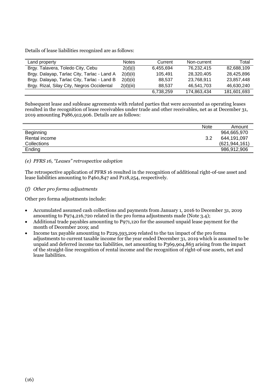Details of lease liabilities recognized are as follows:

| Land property                               | <b>Notes</b> | Current   | Non-current | Total       |
|---------------------------------------------|--------------|-----------|-------------|-------------|
| Brgy. Talavera, Toledo City, Cebu           | 2(d)(i)      | 6.455.694 | 76.232.415  | 82.688.109  |
| Brgy. Dalayap, Tarlac City, Tarlac - Land A | 2(d)(ii)     | 105.491   | 28.320.405  | 28.425.896  |
| Brgy. Dalayap, Tarlac City, Tarlac - Land B | 2(d)(ii)     | 88.537    | 23,768,911  | 23.857.448  |
| Brgy. Rizal, Silay City, Negros Occidental  | 2(d)(iii)    | 88.537    | 46.541.703  | 46.630.240  |
|                                             |              | 6,738,259 | 174,863,434 | 181,601,693 |

Subsequent lease and sublease agreements with related parties that were accounted as operating leases resulted in the recognition of lease receivables under trade and other receivables, net as at December 31, 2019 amounting P986,912,906. Details are as follows:

|               | <b>Note</b> | Amount          |
|---------------|-------------|-----------------|
| Beginning     |             | 964,665,970     |
| Rental income | 3.2         | 644,191,097     |
| Collections   |             | (621, 944, 161) |
| Ending        |             | 986,912,906     |

*(e) PFRS 16, "Leases" retrospective adoption*

The retrospective application of PFRS 16 resulted in the recognition of additional right-of-use asset and lease liabilities amounting to P460,847 and P118,254, respectively.

*(f) Other pro forma adjustments*

Other pro forma adjustments include:

- Accumulated assumed cash collections and payments from January 1, 2016 to December 31, 2019 amounting to P974,216,720 related in the pro forma adjustments made (Note 3.4);
- Additional trade payables amounting to P971,120 for the assumed unpaid lease payment for the month of December 2019; and
- Income tax payable amounting to P229,593,209 related to the tax impact of the pro forma adjustments to current taxable income for the year ended December 31, 2019 which is assumed to be unpaid and deferred income tax liabilities, net amounting to P369,904,863 arising from the impact of the straight-line recognition of rental income and the recognition of right-of-use assets, net and lease liabilities.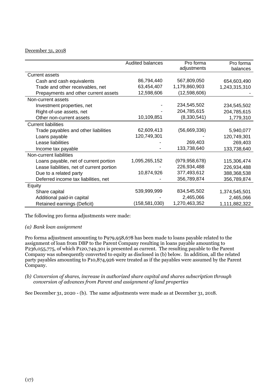# December 31, 2018

|                                           | <b>Audited balances</b> | Pro forma       | Pro forma     |
|-------------------------------------------|-------------------------|-----------------|---------------|
|                                           |                         | adjustments     | balances      |
| <b>Current assets</b>                     |                         |                 |               |
| Cash and cash equivalents                 | 86,794,440              | 567,809,050     | 654,603,490   |
| Trade and other receivables, net          | 63,454,407              | 1,179,860,903   | 1,243,315,310 |
| Prepayments and other current assets      | 12,598,606              | (12,598,606)    |               |
| Non-current assets                        |                         |                 |               |
| Investment properties, net                |                         | 234,545,502     | 234,545,502   |
| Right-of-use assets, net                  |                         | 204,785,615     | 204,785,615   |
| Other non-current assets                  | 10,109,851              | (8,330,541)     | 1,779,310     |
| <b>Current liabilities</b>                |                         |                 |               |
| Trade payables and other liabilities      | 62,609,413              | (56,669,336)    | 5,940,077     |
| Loans payable                             | 120,749,301             |                 | 120,749,301   |
| Lease liabilities                         |                         | 269,403         | 269,403       |
| Income tax payable                        |                         | 133,738,640     | 133,738,640   |
| Non-current liabilities                   |                         |                 |               |
| Loans payable, net of current portion     | 1,095,265,152           | (979, 958, 678) | 115,306,474   |
| Lease liabilities, net of current portion |                         | 226,934,488     | 226,934,488   |
| Due to a related party                    | 10,874,926              | 377,493,612     | 388,368,538   |
| Deferred income tax liabilities, net      |                         | 356,789,874     | 356,789,874   |
| Equity                                    |                         |                 |               |
| Share capital                             | 539,999,999             | 834,545,502     | 1,374,545,501 |
| Additional paid-in capital                |                         | 2,465,066       | 2,465,066     |
| Retained earnings (Deficit)               | (158,581,030)           | 1,270,463,352   | 1,111,882,322 |

The following pro forma adjustments were made:

#### *(a) Bank loan assignment*

Pro forma adjustment amounting to P979,958,678 has been made to loans payable related to the assignment of loan from DBP to the Parent Company resulting in loans payable amounting to P236,055,775, of which P120,749,301 is presented as current. The resulting payable to the Parent Company was subsequently converted to equity as disclosed in (b) below. In addition, all the related party payables amounting to P10,874,926 were treated as if the payables were assumed by the Parent Company.

*(b) Conversion of shares, increase in authorized share capital and shares subscription through conversion of advances from Parent and assignment of land properties*

See December 31, 2020 - (b). The same adjustments were made as at December 31, 2018.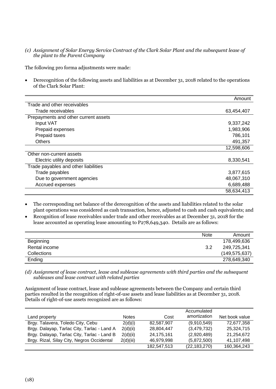*(c) Assignment of Solar Energy Service Contract of the Clark Solar Plant and the subsequent lease of the plant to the Parent Company*

The following pro forma adjustments were made:

• Derecognition of the following assets and liabilities as at December 31, 2018 related to the operations of the Clark Solar Plant:

|                                      | Amount     |
|--------------------------------------|------------|
| Trade and other receivables          |            |
| Trade receivables                    | 63,454,407 |
| Prepayments and other current assets |            |
| Input VAT                            | 9,337,242  |
| Prepaid expenses                     | 1,983,906  |
| Prepaid taxes                        | 786,101    |
| <b>Others</b>                        | 491,357    |
|                                      | 12,598,606 |
| Other non-current assets             |            |
| Electric utility deposits            | 8,330,541  |
| Trade payables and other liabilities |            |
| Trade payables                       | 3,877,615  |
| Due to government agencies           | 48,067,310 |
| Accrued expenses                     | 6,689,488  |
|                                      | 58,634,413 |

- The corresponding net balance of the derecognition of the assets and liabilities related to the solar plant operations was considered as cash transaction, hence, adjusted to cash and cash equivalents; and
- Recognition of lease receivables under trade and other receivables as at December 31, 2018 for the lease accounted as operating lease amounting to P278,649,340. Details are as follows:

|               | <b>Note</b> | Amount          |
|---------------|-------------|-----------------|
| Beginning     |             | 178,499,636     |
| Rental income | 3.2         | 249,725,341     |
| Collections   |             | (149, 575, 637) |
| Ending        |             | 278,649,340     |

*(d) Assignment of lease contract, lease and sublease agreements with third parties and the subsequent subleases and lease contract with related parties*

Assignment of lease contract, lease and sublease agreements between the Company and certain third parties resulted in the recognition of right-of-use assets and lease liabilities as at December 31, 2018. Details of right-of-use assets recognized are as follows:

|                                             |              |             | Accumulated    |                |
|---------------------------------------------|--------------|-------------|----------------|----------------|
| Land property                               | <b>Notes</b> | Cost        | amortization   | Net book value |
| Brgy. Talavera, Toledo City, Cebu           | 2(d)(i)      | 82,587,907  | (9,910,549)    | 72,677,358     |
| Brgy. Dalayap, Tarlac City, Tarlac - Land A | 2(d)(ii)     | 28.804.447  | (3,479,732)    | 25.324.715     |
| Brgy. Dalayap, Tarlac City, Tarlac - Land B | 2(d)(ii)     | 24,175,161  | (2,920,489)    | 21,254,672     |
| Brgy. Rizal, Silay City, Negros Occidental  | 2(d)(iii)    | 46,979,998  | (5,872,500)    | 41,107,498     |
|                                             |              | 182,547,513 | (22, 183, 270) | 160,364,243    |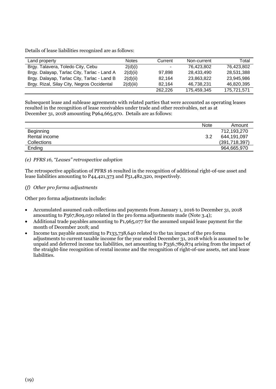Details of lease liabilities recognized are as follows:

| Land property                               | <b>Notes</b> | Current | Non-current | Total       |
|---------------------------------------------|--------------|---------|-------------|-------------|
| Brgy. Talavera, Toledo City, Cebu           | 2(d)(i)      |         | 76.423.802  | 76.423.802  |
| Brgy. Dalayap, Tarlac City, Tarlac - Land A | 2(d)(ii)     | 97.898  | 28.433.490  | 28.531.388  |
| Brgy. Dalayap, Tarlac City, Tarlac - Land B | 2(d)(ii)     | 82.164  | 23,863,822  | 23,945,986  |
| Brgy. Rizal, Silay City, Negros Occidental  | 2(d)(iii)    | 82.164  | 46,738,231  | 46,820,395  |
|                                             |              | 262.226 | 175,459,345 | 175,721,571 |

Subsequent lease and sublease agreements with related parties that were accounted as operating leases resulted in the recognition of lease receivables under trade and other receivables, net as at December 31, 2018 amounting P964,665,970. Details are as follows:

|                    | <b>Note</b> | Amount        |
|--------------------|-------------|---------------|
| Beginning          |             | 712,193,270   |
| Rental income      | 3.2         | 644,191,097   |
| <b>Collections</b> |             | (391,718,397) |
| Ending             |             | 964,665,970   |

# *(e) PFRS 16, "Leases" retrospective adoption*

The retrospective application of PFRS 16 resulted in the recognition of additional right-of-use asset and lease liabilities amounting to P44,421,373 and P51,482,320, respectively.

# *(f) Other pro forma adjustments*

Other pro forma adjustments include:

- Accumulated assumed cash collections and payments from January 1, 2016 to December 31, 2018 amounting to P567,809,050 related in the pro forma adjustments made (Note 3.4);
- Additional trade payables amounting to P1,965,077 for the assumed unpaid lease payment for the month of December 2018; and
- Income tax payable amounting to P133,738,640 related to the tax impact of the pro forma adjustments to current taxable income for the year ended December 31, 2018 which is assumed to be unpaid and deferred income tax liabilities, net amounting to P356,789,874 arising from the impact of the straight-line recognition of rental income and the recognition of right-of-use assets, net and lease liabilities.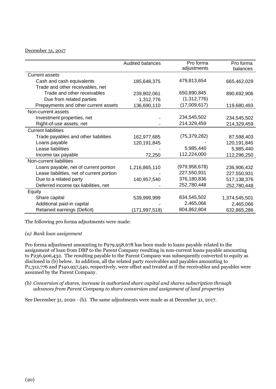#### December 31, 2017

|                                           | Audited balances | Pro forma      | Pro forma     |
|-------------------------------------------|------------------|----------------|---------------|
|                                           |                  | adjustments    | balances      |
| <b>Current assets</b>                     |                  |                |               |
| Cash and cash equivalents                 | 185,648,375      | 479,813,654    | 665,462,029   |
| Trade and other receivables, net          |                  |                |               |
| Trade and other receivables               | 239,802,061      | 650,890,845    | 890,692,906   |
| Due from related parties                  | 1,312,776        | (1,312,776)    |               |
| Prepayments and other current assets      | 136,690,110      | (17,009,617)   | 119,680,493   |
| Non-current assets                        |                  |                |               |
| Investment properties, net                |                  | 234,545,502    | 234,545,502   |
| Right-of-use assets, net                  |                  | 214,329,459    | 214,329,459   |
| <b>Current liabilities</b>                |                  |                |               |
| Trade payables and other liabilities      | 162,977,685      | (75, 379, 282) | 87,598,403    |
| Loans payable                             | 120, 191, 845    |                | 120,191,845   |
| Lease liabilities                         |                  | 5,985,440      | 5,985,440     |
| Income tax payable                        | 72,250           | 112,224,000    | 112,296,250   |
| Non-current liabilities                   |                  |                |               |
| Loans payable, net of current portion     | 1,216,865,110    | (979,958,678)  | 236,906,432   |
| Lease liabilities, net of current portion |                  | 227,550,931    | 227,550,931   |
| Due to a related party                    | 140,957,540      | 376,180,836    | 517,138,376   |
| Deferred income tax liabilities, net      |                  | 252,780,448    | 252,780,448   |
| Equity                                    |                  |                |               |
| Share capital                             | 539,999,999      | 834,545,502    | 1,374,545,501 |
| Additional paid-in capital                |                  | 2,465,066      | 2,465,066     |
| Retained earnings (Deficit)               | (171,997,518)    | 804,862,804    | 632,865,286   |

The following pro forma adjustments were made:

### *(a) Bank loan assignment*

Pro forma adjustment amounting to P979,958,678 has been made to loans payable related to the assignment of loan from DBP to the Parent Company resulting in non-current loans payable amounting to P236,906,432. The resulting payable to the Parent Company was subsequently converted to equity as disclosed in (b) below. In addition, all the related party receivables and payables amounting to P1,312,776 and P140,957,540, respectively, were offset and treated as if the receivables and payables were assumed by the Parent Company.

*(b) Conversion of shares, increase in authorized share capital and shares subscription through advances from Parent Company to share conversion and assignment of land properties*

See December 31, 2020 - (b). The same adjustments were made as at December 31, 2017.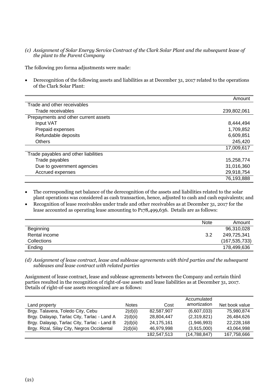*(c) Assignment of Solar Energy Service Contract of the Clark Solar Plant and the subsequent lease of the plant to the Parent Company*

The following pro forma adjustments were made:

• Derecognition of the following assets and liabilities as at December 31, 2017 related to the operations of the Clark Solar Plant:

|                                      | Amount      |
|--------------------------------------|-------------|
| Trade and other receivables          |             |
| Trade receivables                    | 239,802,061 |
| Prepayments and other current assets |             |
| Input VAT                            | 8,444,494   |
| Prepaid expenses                     | 1,709,852   |
| Refundable deposits                  | 6,609,851   |
| <b>Others</b>                        | 245,420     |
|                                      | 17,009,617  |
| Trade payables and other liabilities |             |
| Trade payables                       | 15,258,774  |
| Due to government agencies           | 31,016,360  |
| Accrued expenses                     | 29,918,754  |
|                                      | 76,193,888  |

- The corresponding net balance of the derecognition of the assets and liabilities related to the solar plant operations was considered as cash transaction, hence, adjusted to cash and cash equivalents; and
- Recognition of lease receivables under trade and other receivables as at December 31, 2017 for the lease accounted as operating lease amounting to P178,499,636. Details are as follows:

|                    | <b>Note</b> | Amount          |
|--------------------|-------------|-----------------|
| Beginning          |             | 96,310,028      |
| Rental income      | 3.2         | 249,725,341     |
| <b>Collections</b> |             | (167, 535, 733) |
| Ending             |             | 178,499,636     |

*(d) Assignment of lease contract, lease and sublease agreements with third parties and the subsequent subleases and lease contract with related parties*

Assignment of lease contract, lease and sublease agreements between the Company and certain third parties resulted in the recognition of right-of-use assets and lease liabilities as at December 31, 2017. Details of right-of-use assets recognized are as follows:

|                                             |              |             | Accumulated    |                |
|---------------------------------------------|--------------|-------------|----------------|----------------|
| Land property                               | <b>Notes</b> | Cost        | amortization   | Net book value |
| Brgy. Talavera, Toledo City, Cebu           | 2(d)(i)      | 82,587,907  | (6,607,033)    | 75.980.874     |
| Brgy. Dalayap, Tarlac City, Tarlac - Land A | 2(d)(ii)     | 28,804,447  | (2,319,821)    | 26,484,626     |
| Brgy. Dalayap, Tarlac City, Tarlac - Land B | 2(d)(ii)     | 24,175,161  | (1,946,993)    | 22,228,168     |
| Brgy. Rizal, Silay City, Negros Occidental  | 2(d)(iii)    | 46,979,998  | (3,915,000)    | 43,064,998     |
|                                             |              | 182,547,513 | (14, 788, 847) | 167,758,666    |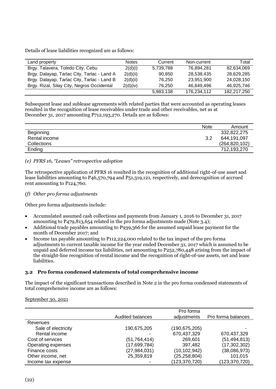Details of lease liabilities recognized are as follows:

| Land property                               | <b>Notes</b> | Current   | Non-current | Total       |
|---------------------------------------------|--------------|-----------|-------------|-------------|
| Brgy. Talavera, Toledo City, Cebu           | 2(d)(i)      | 5,739,788 | 76.894.281  | 82.634.069  |
| Brgy. Dalayap, Tarlac City, Tarlac - Land A | 2(d)(ii)     | 90.850    | 28,538,435  | 28.629.285  |
| Brgy. Dalayap, Tarlac City, Tarlac - Land B | 2(d)(ii)     | 76.250    | 23,951,900  | 24,028,150  |
| Brgy. Rizal, Silay City, Negros Occidental  | 2(d)(iv)     | 76.250    | 46.849.496  | 46.925.746  |
|                                             |              | 5,983,138 | 176,234,112 | 182,217,250 |

Subsequent lease and sublease agreements with related parties that were accounted as operating leases resulted in the recognition of lease receivables under trade and other receivables, net as at December 31, 2017 amounting P712,193,270. Details are as follows:

|                  | <b>Note</b> | Amount          |
|------------------|-------------|-----------------|
| <b>Beginning</b> |             | 332,822,275     |
| Rental income    | 3.2         | 644,191,097     |
| Collections      |             | (264, 820, 102) |
| Ending           |             | 712,193,270     |

# *(e) PFRS 16, "Leases" retrospective adoption*

The retrospective application of PFRS 16 resulted in the recognition of additional right-of-use asset and lease liabilities amounting to P46,570,794 and P51,319,121, respectively, and derecognition of accrued rent amounting to P124,760.

# *(f) Other pro forma adjustments*

Other pro forma adjustments include:

- Accumulated assumed cash collections and payments from January 1, 2016 to December 31, 2017 amounting to P479,813,654 related in the pro forma adjustments made (Note 3.4);
- Additional trade payables amounting to P939,366 for the assumed unpaid lease payment for the month of December 2017; and
- Income tax payable amounting to P112,224,000 related to the tax impact of the pro forma adjustments to current taxable income for the year ended December 31, 2017 which is assumed to be unpaid and deferred income tax liabilities, net amounting to P252,780,448 arising from the impact of the straight-line recognition of rental income and the recognition of right-of-use assets, net and lease liabilities.

#### **3.2 Pro forma condensed statements of total comprehensive income**

The impact of the significant transactions described in Note 2 in the pro forma condensed statements of total comprehensive income are as follows:

September 30, 2021

|                     |                  | Pro forma       |                    |
|---------------------|------------------|-----------------|--------------------|
|                     | Audited balances | adjustments     | Pro forma balances |
| Revenues            |                  |                 |                    |
| Sale of electricity | 190,675,205      | (190, 675, 205) |                    |
| Rental income       |                  | 670,437,329     | 670,437,329        |
| Cost of services    | (51,764,414)     | 269,601         | (51, 494, 813)     |
| Operating expenses  | (17,699,784)     | 397,482         | (17, 302, 302)     |
| Finance costs       | (27, 984, 031)   | (10, 102, 942)  | (38,086,973)       |
| Other income, net   | 25,359,819       | (25, 258, 804)  | 101,015            |
| Income tax expense  |                  | (123,370,720)   | (123, 370, 720)    |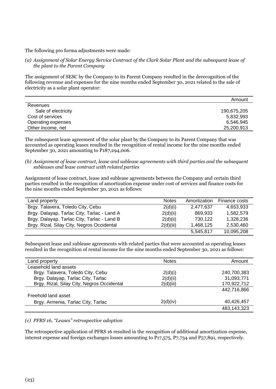The following pro forma adjustments were made:

*(a) Assignment of Solar Energy Service Contract of the Clark Solar Plant and the subsequent lease of the plant to the Parent Company*

The assignment of SESC by the Company to its Parent Company resulted in the derecognition of the following revenue and expenses for the nine months ended September 30, 2021 related to the sale of electricity as a solar plant operator:

|                     | Amount      |
|---------------------|-------------|
| Revenues            |             |
| Sale of electricity | 190,675,205 |
| Cost of services    | 5,832,993   |
| Operating expenses  | 6,546,945   |
| Other income, net   | 25,200,913  |

The subsequent lease agreement of the solar plant by the Company to its Parent Company that was accounted as operating leases resulted in the recognition of rental income for the nine months ended September 30, 2021 amounting to P187,294,006.

*(b) Assignment of lease contract, lease and sublease agreements with third parties and the subsequent subleases and lease contract with related parties*

Assignment of lease contract, lease and sublease agreements between the Company and certain third parties resulted in the recognition of amortization expense under cost of services and finance costs for the nine months ended September 30, 2021 as follows:

| Land property                               | <b>Notes</b> | Amortization | Finance costs |
|---------------------------------------------|--------------|--------------|---------------|
| Brgy. Talavera, Toledo City, Cebu           | 2(d)(i)      | 2.477.637    | 4,653,933     |
| Brgy. Dalayap, Tarlac City, Tarlac - Land A | 2(d)(ii)     | 869.933      | 1,582,579     |
| Brgy. Dalayap, Tarlac City, Tarlac - Land B | 2(d)(ii)     | 730,122      | 1,328,236     |
| Brgy. Rizal, Silay City, Negros Occidental  | 2(d)(iii)    | 1,468,125    | 2,530,460     |
|                                             |              | 5,545,817    | 10,095,208    |

Subsequent lease and sublease agreements with related parties that were accounted as operating leases resulted in the recognition of rental income for the nine months ended September 30, 2021 as follows:

| Land property                              | <b>Notes</b> | Amount      |
|--------------------------------------------|--------------|-------------|
| Leasehold land assets                      |              |             |
| Brgy. Talavera, Toledo City, Cebu          | 2(d)(i)      | 240,700,383 |
| Brgy. Dalayap, Tarlac City, Tarlac         | 2(d)(ii)     | 31,093,771  |
| Brgy. Rizal, Silay City, Negros Occidental | 2(d)(iii)    | 170,922,712 |
|                                            |              | 442,716,866 |
| Freehold land asset                        |              |             |
| Brgy. Armenia, Tarlac City, Tarlac         | 2(d)(iv)     | 40,426,457  |
|                                            |              | 483,143,323 |

# *(c) PFRS 16, "Leases" retrospective adoption*

The retrospective application of PFRS 16 resulted in the recognition of additional amortization expense, interest expense and foreign exchanges losses amounting to P17,575, P7,734 and P57,891, respectively.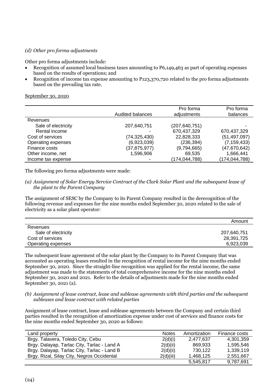# *(d) Other pro forma adjustments*

Other pro forma adjustments include:

- Recognition of assumed local business taxes amounting to P6,149,463 as part of operating expenses based on the results of operations; and
- Recognition of income tax expense amounting to P123,370,720 related to the pro forma adjustments based on the prevailing tax rate.

September 30, 2020

|                     | Audited balances | Pro forma<br>adjustments | Pro forma<br>balances |
|---------------------|------------------|--------------------------|-----------------------|
| Revenues            |                  |                          |                       |
| Sale of electricity | 207,640,751      | (207, 640, 751)          |                       |
| Rental income       |                  | 670,437,329              | 670,437,329           |
| Cost of services    | (74, 325, 430)   | 22,828,333               | (51, 497, 097)        |
| Operating expenses  | (6,923,039)      | (236, 394)               | (7, 159, 433)         |
| Finance costs       | (37, 875, 977)   | (9,794,665)              | (47, 670, 642)        |
| Other income, net   | 1,596,906        | 69,535                   | 1,666,441             |
| Income tax expense  |                  | (174, 044, 788)          | (174, 044, 788)       |

The following pro forma adjustments were made:

#### *(a) Assignment of Solar Energy Service Contract of the Clark Solar Plant and the subsequent lease of the plant to the Parent Company*

The assignment of SESC by the Company to its Parent Company resulted in the derecognition of the following revenue and expenses for the nine months ended September 30, 2020 related to the sale of electricity as a solar plant operator:

|                     | Amount      |
|---------------------|-------------|
| Revenues            |             |
| Sale of electricity | 207,640,751 |
| Cost of services    | 28,391,725  |
| Operating expenses  | 6,923,039   |

The subsequent lease agreement of the solar plant by the Company to its Parent Company that was accounted as operating leases resulted in the recognition of rental income for the nine months ended September 30, 2020. Since the straight-line recognition was applied for the rental income, the same adjustment was made to the statements of total comprehensive income for the nine months ended September 30, 2020 and 2021. Refer to the details of adjustments made for the nine months ended September 30, 2021 (a).

#### *(b) Assignment of lease contract, lease and sublease agreements with third parties and the subsequent subleases and lease contract with related parties*

Assignment of lease contract, lease and sublease agreements between the Company and certain third parties resulted in the recognition of amortization expense under cost of services and finance costs for the nine months ended September 30, 2020 as follows:

| Land property                               | <b>Notes</b> | Amortization | Finance costs |
|---------------------------------------------|--------------|--------------|---------------|
| Brgy. Talavera, Toledo City, Cebu           | 2(d)(i)      | 2,477,637    | 4,301,359     |
| Brgy. Dalayap, Tarlac City, Tarlac - Land A | 2(d)(ii)     | 869,933      | 1,595,546     |
| Brgy. Dalayap, Tarlac City, Tarlac - Land B | 2(d)(ii)     | 730,122      | 1,339,119     |
| Brgy. Rizal, Silay City, Negros Occidental  | 2(d)(iii)    | 1,468,125    | 2,551,667     |
|                                             |              | 5,545,817    | 9,787,691     |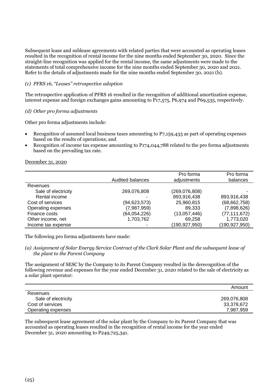Subsequent lease and sublease agreements with related parties that were accounted as operating leases resulted in the recognition of rental income for the nine months ended September 30, 2020. Since the straight-line recognition was applied for the rental income, the same adjustments were made to the statements of total comprehensive income for the nine months ended September 30, 2020 and 2021. Refer to the details of adjustments made for the nine months ended September 30, 2021 (b).

# *(c) PFRS 16, "Leases" retrospective adoption*

The retrospective application of PFRS 16 resulted in the recognition of additional amortization expense, interest expense and foreign exchanges gains amounting to P17,575, P6,974 and P69,535, respectively.

# *(d) Other pro forma adjustments*

Other pro forma adjustments include:

- Recognition of assumed local business taxes amounting to P7,159,433 as part of operating expenses based on the results of operations; and
- Recognition of income tax expense amounting to P174,044,788 related to the pro forma adjustments based on the prevailing tax rate.

#### December 31, 2020

|                     | Audited balances | Pro forma<br>adjustments | Pro forma<br>balances |
|---------------------|------------------|--------------------------|-----------------------|
|                     |                  |                          |                       |
| Revenues            |                  |                          |                       |
| Sale of electricity | 269,076,808      | (269,076,808)            |                       |
| Rental income       |                  | 893,916,438              | 893,916,438           |
| Cost of services    | (94, 623, 573)   | 25,960,815               | (68, 662, 758)        |
| Operating expenses  | (7,987,959)      | 89,333                   | (7,898,626)           |
| Finance costs       | (64, 054, 226)   | (13,057,446)             | (77, 111, 672)        |
| Other income, net   | 1,703,762        | 69,258                   | 1,773,020             |
| Income tax expense  |                  | (190, 927, 950)          | (190,927,950)         |

The following pro forma adjustments have made:

#### *(a) Assignment of Solar Energy Service Contract of the Clark Solar Plant and the subsequent lease of the plant to the Parent Company*

The assignment of SESC by the Company to its Parent Company resulted in the derecognition of the following revenue and expenses for the year ended December 31, 2020 related to the sale of electricity as a solar plant operator:

|                     | Amount      |
|---------------------|-------------|
| Revenues            |             |
| Sale of electricity | 269,076,808 |
| Cost of services    | 33,378,672  |
| Operating expenses  | 7,987,959   |

The subsequent lease agreement of the solar plant by the Company to its Parent Company that was accounted as operating leases resulted in the recognition of rental income for the year ended December 31, 2020 amounting to P249,725,341.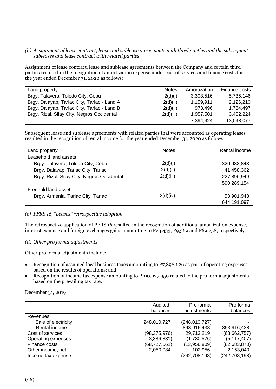#### *(b) Assignment of lease contract, lease and sublease agreements with third parties and the subsequent subleases and lease contract with related parties*

Assignment of lease contract, lease and sublease agreements between the Company and certain third parties resulted in the recognition of amortization expense under cost of services and finance costs for the year ended December 31, 2020 as follows:

| Land property                               | <b>Notes</b> | Amortization | Finance costs |
|---------------------------------------------|--------------|--------------|---------------|
| Brgy. Talavera, Toledo City, Cebu           | 2(d)(i)      | 3,303,516    | 5,735,146     |
| Brgy. Dalayap, Tarlac City, Tarlac - Land A | 2(d)(ii)     | 1,159,911    | 2,126,210     |
| Brgy. Dalayap, Tarlac City, Tarlac - Land B | 2(d)(ii)     | 973.496      | 1,784,497     |
| Brgy. Rizal, Silay City, Negros Occidental  | 2(d)(iii)    | 1,957,501    | 3,402,224     |
|                                             |              | 7,394,424    | 13,048,077    |

Subsequent lease and sublease agreements with related parties that were accounted as operating leases resulted in the recognition of rental income for the year ended December 31, 2020 as follows:

| Land property                              | <b>Notes</b> | Rental income |
|--------------------------------------------|--------------|---------------|
| Leasehold land assets                      |              |               |
| Brgy. Talavera, Toledo City, Cebu          | 2(d)(i)      | 320,933,843   |
| Brgy. Dalayap, Tarlac City, Tarlac         | 2(d)(ii)     | 41,458,362    |
| Brgy. Rizal, Silay City, Negros Occidental | 2(d)(iii)    | 227,896,949   |
|                                            |              | 590,289,154   |
| Freehold land asset                        |              |               |
| Brgy. Armenia, Tarlac City, Tarlac         | 2(d)(iv)     | 53,901,943    |
|                                            |              | 644,191,097   |

#### *(c) PFRS 16, "Leases" retrospective adoption*

The retrospective application of PFRS 16 resulted in the recognition of additional amortization expense, interest expense and foreign exchanges gains amounting to P23,433, P9,369 and P69,258, respectively.

#### *(d) Other pro forma adjustments*

Other pro forma adjustments include:

- Recognition of assumed local business taxes amounting to P7,898,626 as part of operating expenses based on the results of operations; and
- Recognition of income tax expense amounting to P190,927,950 related to the pro forma adjustments based on the prevailing tax rate.

#### December 31, 2019

|                     | Audited<br>balances | Pro forma<br>adjustments | Pro forma<br>balances |
|---------------------|---------------------|--------------------------|-----------------------|
| Revenues            |                     |                          |                       |
| Sale of electricity | 248,010,727         | (248, 010, 727)          |                       |
| Rental income       |                     | 893,916,438              | 893,916,438           |
| Cost of services    | (98, 375, 976)      | 29,713,219               | (68, 662, 757)        |
| Operating expenses  | (3,386,831)         | (1,730,576)              | (5, 117, 407)         |
| Finance costs       | (68, 727, 061)      | (13,956,809)             | (82,683,870)          |
| Other income, net   | 2,050,084           | 102,956                  | 2,153,040             |
| Income tax expense  |                     | (242,708,198)            | (242, 708, 198)       |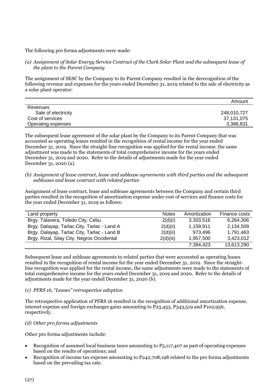The following pro forma adjustments were made:

*(a) Assignment of Solar Energy Service Contract of the Clark Solar Plant and the subsequent lease of the plant to the Parent Company*

The assignment of SESC by the Company to its Parent Company resulted in the derecognition of the following revenue and expenses for the years ended December 31, 2019 related to the sale of electricity as a solar plant operator:

|                     | Amount      |
|---------------------|-------------|
| Revenues            |             |
| Sale of electricity | 248,010,727 |
| Cost of services    | 37,131,075  |
| Operating expenses  | 3,386,831   |

The subsequent lease agreement of the solar plant by the Company to its Parent Company that was accounted as operating leases resulted in the recognition of rental income for the year ended December 31, 2019. Since the straight-line recognition was applied for the rental income, the same adjustment was made to the statements of total comprehensive income for the years ended December 31, 2019 and 2020. Refer to the details of adjustments made for the year ended December 31, 2020 (a).

#### *(b) Assignment of lease contract, lease and sublease agreements with third parties and the subsequent subleases and lease contract with related parties*

Assignment of lease contract, lease and sublease agreements between the Company and certain third parties resulted in the recognition of amortization expense under cost of services and finance costs for the year ended December 31, 2019 as follows:

| Land property                               | <b>Notes</b> | Amortization | Finance costs |
|---------------------------------------------|--------------|--------------|---------------|
| Brgy. Talavera, Toledo City, Cebu           | 2(d)(i)      | 3,303,516    | 6,264,306     |
| Brgy. Dalayap, Tarlac City, Tarlac - Land A | 2(d)(ii)     | 1,159,911    | 2,134,509     |
| Brgy. Dalayap, Tarlac City, Tarlac - Land B | 2(d)(ii)     | 973,496      | 1,791,463     |
| Brgy. Rizal, Silay City, Negros Occidental  | 2(d)(iii)    | 1,957,500    | 3,423,012     |
|                                             |              | 7,394,423    | 13,613,290    |

Subsequent lease and sublease agreements to related parties that were accounted as operating leases resulted in the recognition of rental income for the year ended December 31, 2019. Since the straightline recognition was applied for the rental income, the same adjustments were made to the statements of total comprehensive income for the years ended December 31, 2019 and 2020. Refer to the details of adjustments made for the year ended December 31, 2020 (b).

# *(c) PFRS 16, "Leases" retrospective adoption*

The retrospective application of PFRS 16 resulted in the recognition of additional amortization expense, interest expense and foreign exchanges gains amounting to P23,433, P343,519 and P102,956, respectively.

# *(d) Other pro forma adjustments*

Other pro forma adjustments include:

- Recognition of assumed local business taxes amounting to P5,117,407 as part of operating expenses based on the results of operations; and
- Recognition of income tax expense amounting to P242,708,198 related to the pro forma adjustments based on the prevailing tax rate.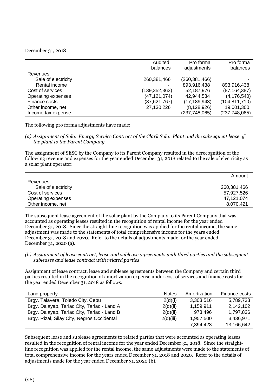#### December 31, 2018

|                     | Audited<br>balances | Pro forma<br>adjustments | Pro forma<br>balances |
|---------------------|---------------------|--------------------------|-----------------------|
| Revenues            |                     |                          |                       |
| Sale of electricity | 260,381,466         | (260,381,466)            |                       |
| Rental income       |                     | 893,916,438              | 893,916,438           |
| Cost of services    | (139, 352, 363)     | 52,187,976               | (87, 164, 387)        |
| Operating expenses  | (47, 121, 074)      | 42,944,534               | (4, 176, 540)         |
| Finance costs       | (87,621,767)        | (17, 189, 943)           | (104, 811, 710)       |
| Other income, net   | 27,130,226          | (8, 128, 926)            | 19,001,300            |
| Income tax expense  |                     | (237,748,065)            | (237, 748, 065)       |

The following pro forma adjustments have made:

*(a) Assignment of Solar Energy Service Contract of the Clark Solar Plant and the subsequent lease of the plant to the Parent Company*

The assignment of SESC by the Company to its Parent Company resulted in the derecognition of the following revenue and expenses for the year ended December 31, 2018 related to the sale of electricity as a solar plant operator:

|                     | Amount      |
|---------------------|-------------|
| Revenues            |             |
| Sale of electricity | 260,381,466 |
| Cost of services    | 57,927,526  |
| Operating expenses  | 47,121,074  |
| Other income, net   | 8,070,421   |

The subsequent lease agreement of the solar plant by the Company to its Parent Company that was accounted as operating leases resulted in the recognition of rental income for the year ended December 31, 2018. Since the straight-line recognition was applied for the rental income, the same adjustment was made to the statements of total comprehensive income for the years ended December 31, 2018 and 2020. Refer to the details of adjustments made for the year ended December 31, 2020 (a).

*(b) Assignment of lease contract, lease and sublease agreements with third parties and the subsequent subleases and lease contract with related parties*

Assignment of lease contract, lease and sublease agreements between the Company and certain third parties resulted in the recognition of amortization expense under cost of services and finance costs for the year ended December 31, 2018 as follows:

| Land property                               | <b>Notes</b> | Amortization | Finance costs |
|---------------------------------------------|--------------|--------------|---------------|
| Brgy. Talavera, Toledo City, Cebu           | 2(d)(i)      | 3,303,516    | 5,789,733     |
| Brgy. Dalayap, Tarlac City, Tarlac - Land A | 2(d)(ii)     | 1,159,911    | 2,142,102     |
| Brgy. Dalayap, Tarlac City, Tarlac - Land B | 2(d)(ii)     | 973,496      | 1,797,836     |
| Brgy. Rizal, Silay City, Negros Occidental  | 2(d)(iii)    | 1,957,500    | 3,436,971     |
|                                             |              | 7,394,423    | 13,166,642    |

Subsequent lease and sublease agreements to related parties that were accounted as operating leases resulted in the recognition of rental income for the year ended December 31, 2018. Since the straightline recognition was applied for the rental income, the same adjustments were made to the statements of total comprehensive income for the years ended December 31, 2018 and 2020. Refer to the details of adjustments made for the year ended December 31, 2020 (b).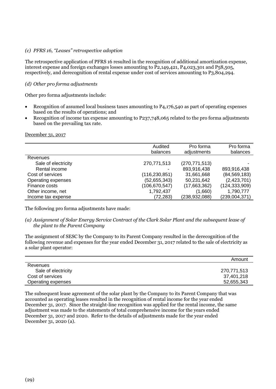#### *(c) PFRS 16, "Leases" retrospective adoption*

The retrospective application of PFRS 16 resulted in the recognition of additional amortization expense, interest expense and foreign exchanges losses amounting to P2,149,421, P4,023,301 and P58,505, respectively, and derecognition of rental expense under cost of services amounting to P3,804,294.

# *(d) Other pro forma adjustments*

Other pro forma adjustments include:

- Recognition of assumed local business taxes amounting to P4,176,540 as part of operating expenses based on the results of operations; and
- Recognition of income tax expense amounting to P237,748,065 related to the pro forma adjustments based on the prevailing tax rate.

December 31, 2017

|                     | Audited<br>balances | Pro forma<br>adjustments | Pro forma<br>balances |
|---------------------|---------------------|--------------------------|-----------------------|
| Revenues            |                     |                          |                       |
| Sale of electricity | 270,771,513         | (270, 771, 513)          |                       |
| Rental income       |                     | 893,916,438              | 893,916,438           |
| Cost of services    | (116,230,851)       | 31,661,668               | (84, 569, 183)        |
| Operating expenses  | (52, 655, 343)      | 50,231,642               | (2,423,701)           |
| Finance costs       | (106,670,547)       | (17,663,362)             | (124, 333, 909)       |
| Other income, net   | 1,792,437           | (1,660)                  | 1,790,777             |
| Income tax expense  | (72,283)            | (238, 932, 088)          | (239,004,371)         |

The following pro forma adjustments have made:

*(a) Assignment of Solar Energy Service Contract of the Clark Solar Plant and the subsequent lease of the plant to the Parent Company*

The assignment of SESC by the Company to its Parent Company resulted in the derecognition of the following revenue and expenses for the year ended December 31, 2017 related to the sale of electricity as a solar plant operator:

|                     | Amount      |
|---------------------|-------------|
| Revenues            |             |
| Sale of electricity | 270,771,513 |
| Cost of services    | 37,401,218  |
| Operating expenses  | 52,655,343  |

The subsequent lease agreement of the solar plant by the Company to its Parent Company that was accounted as operating leases resulted in the recognition of rental income for the year ended December 31, 2017. Since the straight-line recognition was applied for the rental income, the same adjustment was made to the statements of total comprehensive income for the years ended December 31, 2017 and 2020. Refer to the details of adjustments made for the year ended December 31, 2020 (a).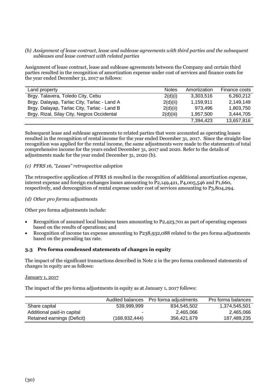#### *(b) Assignment of lease contract, lease and sublease agreements with third parties and the subsequent subleases and lease contract with related parties*

Assignment of lease contract, lease and sublease agreements between the Company and certain third parties resulted in the recognition of amortization expense under cost of services and finance costs for the year ended December 31, 2017 as follows:

| Land property                               | <b>Notes</b> | Amortization | Finance costs |
|---------------------------------------------|--------------|--------------|---------------|
| Brgy. Talavera, Toledo City, Cebu           | 2(d)(i)      | 3,303,516    | 6,260,212     |
| Brgy. Dalayap, Tarlac City, Tarlac - Land A | 2(d)(ii)     | 1,159,911    | 2,149,149     |
| Brgy. Dalayap, Tarlac City, Tarlac - Land B | 2(d)(ii)     | 973,496      | 1,803,750     |
| Brgy. Rizal, Silay City, Negros Occidental  | 2(d)(iii)    | 1,957,500    | 3,444,705     |
|                                             |              | 7,394,423    | 13,657,816    |

Subsequent lease and sublease agreements to related parties that were accounted as operating leases resulted in the recognition of rental income for the year ended December 31, 2017. Since the straight-line recognition was applied for the rental income, the same adjustments were made to the statements of total comprehensive income for the years ended December 31, 2017 and 2020. Refer to the details of adjustments made for the year ended December 31, 2020 (b).

# *(c) PFRS 16, "Leases" retrospective adoption*

The retrospective application of PFRS 16 resulted in the recognition of additional amortization expense, interest expense and foreign exchanges losses amounting to P2,149,421, P4,005,546 and P1,660, respectively, and derecognition of rental expense under cost of services amounting to P3,804,294.

# *(d) Other pro forma adjustments*

Other pro forma adjustments include:

- Recognition of assumed local business taxes amounting to P2,423,701 as part of operating expenses based on the results of operations; and
- Recognition of income tax expense amounting to P238,932,088 related to the pro forma adjustments based on the prevailing tax rate.

#### **3.3 Pro forma condensed statements of changes in equity**

The impact of the significant transactions described in Note 2 in the pro forma condensed statements of changes in equity are as follows:

#### January 1, 2017

The impact of the pro forma adjustments in equity as at January 1, 2017 follows:

|                             | Audited balances | Pro forma adjustments | Pro forma balances |
|-----------------------------|------------------|-----------------------|--------------------|
| Share capital               | 539,999,999      | 834,545,502           | 1,374,545,501      |
| Additional paid-in capital  | $\,$             | 2,465,066             | 2,465,066          |
| Retained earnings (Deficit) | (168,932,444)    | 356.421.679           | 187,489,235        |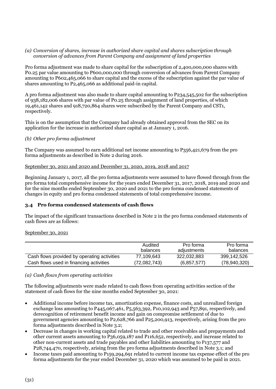#### *(a) Conversion of shares, increase in authorized share capital and shares subscription through conversion of advances from Parent Company and assignment of land properties*

Pro forma adjustment was made to share capital for the subscription of 2,400,000,000 shares with P0.25 par value amounting to P600,000,000 through conversion of advances from Parent Company amounting to P602,465,066 to share capital and the excess of the subscription against the par value of shares amounting to P2,465,066 as additional paid-in capital.

A pro forma adjustment was also made to share capital amounting to P234,545,502 for the subscription of 938,182,006 shares with par value of P0.25 through assignment of land properties, of which 19,461,142 shares and 918,720,864 shares were subscribed by the Parent Company and CST1, respectively.

This is on the assumption that the Company had already obtained approval from the SEC on its application for the increase in authorized share capital as at January 1, 2016.

# *(b) Other pro forma adjustment*

The Company was assumed to earn additional net income amounting to P356,421,679 from the pro forma adjustments as described in Note 2 during 2016.

# September 30, 2021 and 2020 and December 31, 2020, 2019, 2018 and 2017

Beginning January 1, 2017, all the pro forma adjustments were assumed to have flowed through from the pro forma total comprehensive income for the years ended December 31, 2017, 2018, 2019 and 2020 and for the nine months ended September 30, 2020 and 2021 to the pro forma condensed statements of changes in equity and pro forma condensed statements of total comprehensive income.

# **3.4 Pro forma condensed statements of cash flows**

The impact of the significant transactions described in Note 2 in the pro forma condensed statements of cash flows are as follows:

#### September 30, 2021

|                                             | Audited<br>balances | Pro forma<br>adiustments | Pro forma<br>balances |
|---------------------------------------------|---------------------|--------------------------|-----------------------|
| Cash flows provided by operating activities | 77,109,643          | 322,032,883              | 399,142,526           |
| Cash flows used in financing activities     | (72,082,743)        | (6, 857, 577)            | (78,940,320)          |

# *(a) Cash flows from operating activities*

The following adjustments were made related to cash flows from operating activities section of the statement of cash flows for the nine months ended September 30, 2021:

- Additional income before income tax, amortization expense, finance costs, and unrealized foreign exchange loss amounting to P445,067,461, P5,563,392, P10,102,943 and P57,891, respectively, and derecognition of retirement benefit income and gain on compromise settlement of due to government agencies amounting to P2,628,766 and P25,200,913, respectively, arising from the pro forma adjustments described in Note 3.2;
- Decrease in changes in working capital related to trade and other receivables and prepayments and other current assets amounting to P36,059,187 and P116,652, respectively, and increase related to other non-current assets and trade payables and other liabilities amounting to P137,577 and P28,744,470, respectively, arising from the pro forma adjustments described in Note 3.1; and
- Income taxes paid amounting to P159,294,691 related to current income tax expense effect of the pro forma adjustments for the year ended December 31, 2020 which was assumed to be paid in 2021.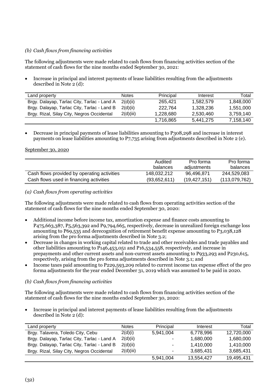# *(b) Cash flows from financing activities*

The following adjustments were made related to cash flows from financing activities section of the statement of cash flows for the nine months ended September 30, 2021:

• Increase in principal and interest payments of lease liabilities resulting from the adjustments described in Note 2 (d):

| Land property                               | <b>Notes</b> | Principal | Interest  | Total     |
|---------------------------------------------|--------------|-----------|-----------|-----------|
| Brgy. Dalayap, Tarlac City, Tarlac - Land A | 2(d)(ii)     | 265.421   | 1,582,579 | 1,848,000 |
| Brgy. Dalayap, Tarlac City, Tarlac - Land B | 2(d)(ii)     | 222,764   | 1.328.236 | 1.551.000 |
| Brgy. Rizal, Silay City, Negros Occidental  | 2(d)(iii)    | 1.228.680 | 2.530.460 | 3,759,140 |
|                                             |              | 1,716,865 | 5,441,275 | 7,158,140 |

• Decrease in principal payments of lease liabilities amounting to P308,298 and increase in interest payments on lease liabilities amounting to P7,735 arising from adjustments described in Note 2 (e).

#### September 30, 2020

|                                             | Audited<br>balances | Pro forma<br>adjustments | Pro forma<br>balances |
|---------------------------------------------|---------------------|--------------------------|-----------------------|
| Cash flows provided by operating activities | 148.032.212         | 96.496.871               | 244,529,083           |
| Cash flows used in financing activities     | (93,652,611)        | (19, 427, 151)           | (113,079,762)         |

# *(a) Cash flows from operating activities*

The following adjustments were made related to cash flows from operating activities section of the statement of cash flows for the nine months ended September 30, 2020:

- Additional income before income tax, amortization expense and finance costs amounting to P475,663,387, P5,563,392 and P9,794,665, respectively, decrease in unrealized foreign exchange loss amounting to P69,535 and derecognition of retirement benefit expense amounting to P3,038,128 arising from the pro forma adjustments described in Note 3.2;
- Decrease in changes in working capital related to trade and other receivables and trade payables and other liabilities amounting to P146,453,051 and P16,534,558, respectively, and increase in prepayments and other current assets and non-current assets amounting to P933,293 and P230,615, respectively, arising from the pro forma adjustments described in Note 3.1; and
- Income taxes paid amounting to P229,593,209 related to current income tax expense effect of the pro forma adjustments for the year ended December 31, 2019 which was assumed to be paid in 2020.

#### *(b) Cash flows from financing activities*

The following adjustments were made related to cash flows from financing activities section of the statement of cash flows for the nine months ended September 30, 2020:

• Increase in principal and interest payments of lease liabilities resulting from the adjustments described in Note 2 (d):

| Land property                               | <b>Notes</b> | Principal                | Interest   | Total      |
|---------------------------------------------|--------------|--------------------------|------------|------------|
| Brgy. Talavera, Toledo City, Cebu           | 2(d)(i)      | 5,941,004                | 6,778,996  | 12,720,000 |
| Brgy. Dalayap, Tarlac City, Tarlac - Land A | 2(d)(ii)     | $\overline{\phantom{0}}$ | 1,680,000  | 1,680,000  |
| Brgy. Dalayap, Tarlac City, Tarlac - Land B | 2(d)(ii)     | $\blacksquare$           | 1,410,000  | 1,410,000  |
| Brgy. Rizal, Silay City, Negros Occidental  | 2(d)(iii)    | $\blacksquare$           | 3,685,431  | 3,685,431  |
|                                             |              | 5,941,004                | 13,554,427 | 19,495,431 |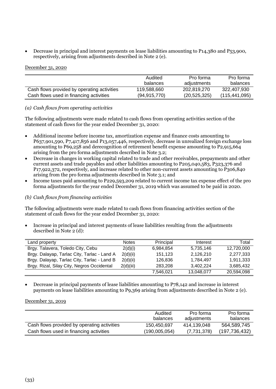• Decrease in principal and interest payments on lease liabilities amounting to P14,380 and P53,900, respectively, arising from adjustments described in Note 2 (e).

#### December 31, 2020

|                                             | Audited<br>balances | Pro forma<br>adjustments | Pro forma<br>balances |
|---------------------------------------------|---------------------|--------------------------|-----------------------|
| Cash flows provided by operating activities | 119,588,660         | 202,819,270              | 322,407,930           |
| Cash flows used in financing activities     | (94, 915, 770)      | (20, 525, 325)           | (115, 441, 095)       |

# *(a) Cash flows from operating activities*

The following adjustments were made related to cash flows from operating activities section of the statement of cash flows for the year ended December 31, 2020:

- Additional income before income tax, amortization expense and finance costs amounting to P637,901,590, P7,417,856 and P13,057,446, respectively, decrease in unrealized foreign exchange loss amounting to P69,258 and derecognition of retirement benefit expense amounting to P2,915,664 arising from the pro forma adjustments described in Note 3.2;
- Decrease in changes in working capital related to trade and other receivables, prepayments and other current assets and trade payables and other liabilities amounting to P205,040,583, P323,376 and P17,922,372, respectively, and increase related to other non-current assets amounting to P306,840 arising from the pro forma adjustments described in Note 3.1; and
- Income taxes paid amounting to P229,593,209 related to current income tax expense effect of the pro forma adjustments for the year ended December 31, 2019 which was assumed to be paid in 2020.

# *(b) Cash flows from financing activities*

The following adjustments were made related to cash flows from financing activities section of the statement of cash flows for the year ended December 31, 2020:

• Increase in principal and interest payments of lease liabilities resulting from the adjustments described in Note 2 (d):

| Land property                               | <b>Notes</b> | Principal | Interest   | Total      |
|---------------------------------------------|--------------|-----------|------------|------------|
| Brgy. Talavera, Toledo City, Cebu           | 2(d)(i)      | 6.984.854 | 5,735,146  | 12,720,000 |
| Brgy. Dalayap, Tarlac City, Tarlac - Land A | 2(d)(ii)     | 151.123   | 2,126,210  | 2,277,333  |
| Brgy. Dalayap, Tarlac City, Tarlac - Land B | 2(d)(ii)     | 126.836   | 1.784.497  | 1,911,333  |
| Brgy. Rizal, Silay City, Negros Occidental  | 2(d)(iii)    | 283,208   | 3.402.224  | 3,685,432  |
|                                             |              | 7,546,021 | 13,048,077 | 20,594,098 |

• Decrease in principal payments of lease liabilities amounting to P78,142 and increase in interest payments on lease liabilities amounting to P9,369 arising from adjustments described in Note 2 (e).

#### December 31, 2019

|                                             | Audited       | Pro forma   | Pro forma       |
|---------------------------------------------|---------------|-------------|-----------------|
|                                             | balances      | adjustments | balances        |
| Cash flows provided by operating activities | 150,450,697   | 414,139,048 | 564,589,745     |
| Cash flows used in financing activities     | (190,005,054) | (7,731,378) | (197, 736, 432) |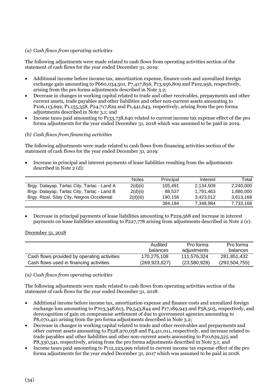# *(a) Cash flows from operating activities*

The following adjustments were made related to cash flows from operating activities section of the statement of cash flows for the year ended December 31, 2019:

- Additional income before income tax, amortization expense, finance costs and unrealized foreign exchange gain amounting to P660,034,501, P7,417,856, P13,956,809 and P102,956, respectively, arising from the pro forma adjustments described in Note 3.2;
- Decrease in changes in working capital related to trade and other receivables, prepayments and other current assets, trade payables and other liabilities and other non-current assets amounting to P106,113,692, P1,155,358, P24,717,829 and P1,441,643, respectively, arising from the pro forma adjustments described in Note 3.1; and
- Income taxes paid amounting to P133,738,640 related to current income tax expense effect of the pro forma adjustments for the year ended December 31, 2018 which was assumed to be paid in 2019.

# *(b) Cash flows from financing activities*

The following adjustments were made related to cash flows from financing activities section of the statement of cash flows for the year ended December 31, 2019:

• Increase in principal and interest payments of lease liabilities resulting from the adjustments described in Note 2 (d):

|                                             | <b>Notes</b> | Principal | Interest  | Total     |
|---------------------------------------------|--------------|-----------|-----------|-----------|
| Brgy. Dalayap, Tarlac City, Tarlac - Land A | 2(d)(ii)     | 105.491   | 2.134.509 | 2.240.000 |
| Brgy. Dalayap, Tarlac City, Tarlac - Land B | 2(d)(ii)     | 88.537    | 1.791.463 | 1.880.000 |
| Brgy. Rizal, Silay City, Negros Occidental  | 2(d)(iii)    | 190.156   | 3.423.012 | 3.613.168 |
|                                             |              | 384.184   | 7.348.984 | 7,733,168 |

• Decrease in principal payments of lease liabilities amounting to P229,568 and increase in interest payments on lease liabilities amounting to P227,778 arising from adjustments described in Note 2 (e).

#### December 31, 2018

|                                             | Audited<br>balances | Pro forma<br>adjustments | Pro forma<br>balances |
|---------------------------------------------|---------------------|--------------------------|-----------------------|
| Cash flows provided by operating activities | 170,275,108         | 111,576,324              | 281,851,432           |
| Cash flows used in financing activities     | (269, 923, 827)     | (23,580,928)             | (293, 504, 755)       |

#### *(a) Cash flows from operating activities*

The following adjustments were made related to cash flows from operating activities section of the statement of cash flows for the year ended December 31, 2018:

- Additional income before income tax, amortization expense and finance costs and unrealized foreign exchange loss amounting to P703,348,613, P9,543,844 and P17,189,943 and P58,505, respectively, and derecognition of gain on compromise settlement of due to government agencies amounting to P8,070,421 arising from the pro forma adjustments described in Note 3.2;
- Decrease in changes in working capital related to trade and other receivables and prepayments and other current assets amounting to P528,970,058 and P4,411,011, respectively, and increase related to trade payables and other liabilities and other non-current assets amounting to P10,639,525 and P8,330,541, respectively, arising from the pro forma adjustments described in Note 3.1; and
- Income taxes paid amounting to P112,223,999 related to current income tax expense effect of the pro forma adjustments for the year ended December 31, 2017 which was assumed to be paid in 2018.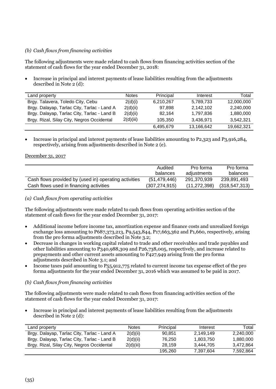# *(b) Cash flows from financing activities*

The following adjustments were made related to cash flows from financing activities section of the statement of cash flows for the year ended December 31, 2018:

• Increase in principal and interest payments of lease liabilities resulting from the adjustments described in Note 2 (d):

| Land property                               | <b>Notes</b> | Principal | Interest   | Total      |
|---------------------------------------------|--------------|-----------|------------|------------|
| Brgy. Talavera, Toledo City, Cebu           | 2(d)(i)      | 6,210,267 | 5,789,733  | 12,000,000 |
| Brgy. Dalayap, Tarlac City, Tarlac - Land A | 2(d)(ii)     | 97.898    | 2,142,102  | 2,240,000  |
| Brgy. Dalayap, Tarlac City, Tarlac - Land B | 2(d)(ii)     | 82.164    | 1,797,836  | 1,880,000  |
| Brgy. Rizal, Silay City, Negros Occidental  | 2(d)(iii)    | 105.350   | 3.436.971  | 3.542.321  |
|                                             |              | 6,495,679 | 13,166,642 | 19,662,321 |

• Increase in principal and interest payments of lease liabilities amounting to P2,323 and P3,916,284, respectively, arising from adjustments described in Note 2 (e).

#### December 31, 2017

|                                                       | Audited<br>balances | Pro forma<br>adjustments | Pro forma<br>balances |
|-------------------------------------------------------|---------------------|--------------------------|-----------------------|
| Cash flows provided by (used in) operating activities | (51, 479, 446)      | 291,370,939              | 239,891,493           |
| Cash flows used in financing activities               | (307, 274, 915)     | (11, 272, 398)           | (318, 547, 313)       |

#### *(a) Cash flows from operating activities*

The following adjustments were made related to cash flows from operating activities section of the statement of cash flows for the year ended December 31, 2017:

- Additional income before income tax, amortization expense and finance costs and unrealized foreign exchange loss amounting to P687,373,213, P9,543,844, P17,663,362 and P1,660, respectively, arising from the pro forma adjustments described in Note 3.2;
- Decrease in changes in working capital related to trade and other receivables and trade payables and other liabilities amounting to P340,988,309 and P26,738,005, respectively, and increase related to prepayments and other current assets amounting to P427,949 arising from the pro forma adjustments described in Note 3.1; and
- Income taxes paid amounting to P55,912,775 related to current income tax expense effect of the pro forma adjustments for the year ended December 31, 2016 which was assumed to be paid in 2017.

# *(b) Cash flows from financing activities*

The following adjustments were made related to cash flows from financing activities section of the statement of cash flows for the year ended December 31, 2017:

• Increase in principal and interest payments of lease liabilities resulting from the adjustments described in Note 2 (d):

| Land property                               | <b>Notes</b> | Principal | Interest  | Total     |
|---------------------------------------------|--------------|-----------|-----------|-----------|
| Brgy. Dalayap, Tarlac City, Tarlac - Land A | 2(d)(ii)     | 90.851    | 2.149.149 | 2.240.000 |
| Brgy. Dalayap, Tarlac City, Tarlac - Land B | 2(d)(ii)     | 76.250    | 1.803.750 | 1.880.000 |
| Brgy. Rizal, Silay City, Negros Occidental  | 2(d)(iii)    | 28.159    | 3.444.705 | 3.472.864 |
|                                             |              | 195.260   | 7.397.604 | 7.592.864 |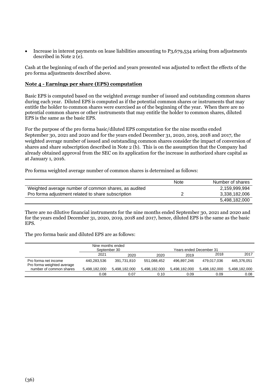• Increase in interest payments on lease liabilities amounting to P3,679,534 arising from adjustments described in Note 2 (e).

Cash at the beginning of each of the period and years presented was adjusted to reflect the effects of the pro forma adjustments described above.

# **Note 4 - Earnings per share (EPS) computation**

Basic EPS is computed based on the weighted average number of issued and outstanding common shares during each year. Diluted EPS is computed as if the potential common shares or instruments that may entitle the holder to common shares were exercised as of the beginning of the year. When there are no potential common shares or other instruments that may entitle the holder to common shares, diluted EPS is the same as the basic EPS.

For the purpose of the pro forma basic/diluted EPS computation for the nine months ended September 30, 2021 and 2020 and for the years ended December 31, 2020, 2019, 2018 and 2017, the weighted average number of issued and outstanding common shares consider the impact of conversion of shares and share subscription described in Note 2 (b). This is on the assumption that the Company had already obtained approval from the SEC on its application for the increase in authorized share capital as at January 1, 2016.

Pro forma weighted average number of common shares is determined as follows:

|                                                      | <b>Note</b> | Number of shares |
|------------------------------------------------------|-------------|------------------|
| Weighted average number of common shares, as audited |             | 2,159,999,994    |
| Pro forma adjustment related to share subscription   |             | 3,338,182,006    |
|                                                      |             | 5,498,182,000    |

There are no dilutive financial instruments for the nine months ended September 30, 2021 and 2020 and for the years ended December 31, 2020, 2019, 2018 and 2017, hence, diluted EPS is the same as the basic EPS.

The pro forma basic and diluted EPS are as follows:

|                                                    | Nine months ended<br>September 30 |               |               | Years ended December 31 |               |               |
|----------------------------------------------------|-----------------------------------|---------------|---------------|-------------------------|---------------|---------------|
|                                                    | 2021                              | 2020          | 2020          | 2019                    | 2018          | 2017          |
| Pro forma net income<br>Pro forma weighted average | 440,283,536                       | 391,731,810   | 551,088,452   | 496.897.246             | 479,017,036   | 445,376,051   |
| number of common shares                            | 5,498,182,000                     | 5,498,182,000 | 5,498,182,000 | 5,498,182,000           | 5,498,182,000 | 5,498,182,000 |
|                                                    | 0.08                              | 0.07          | 0.10          | 0.09                    | 0.09          | 0.08          |